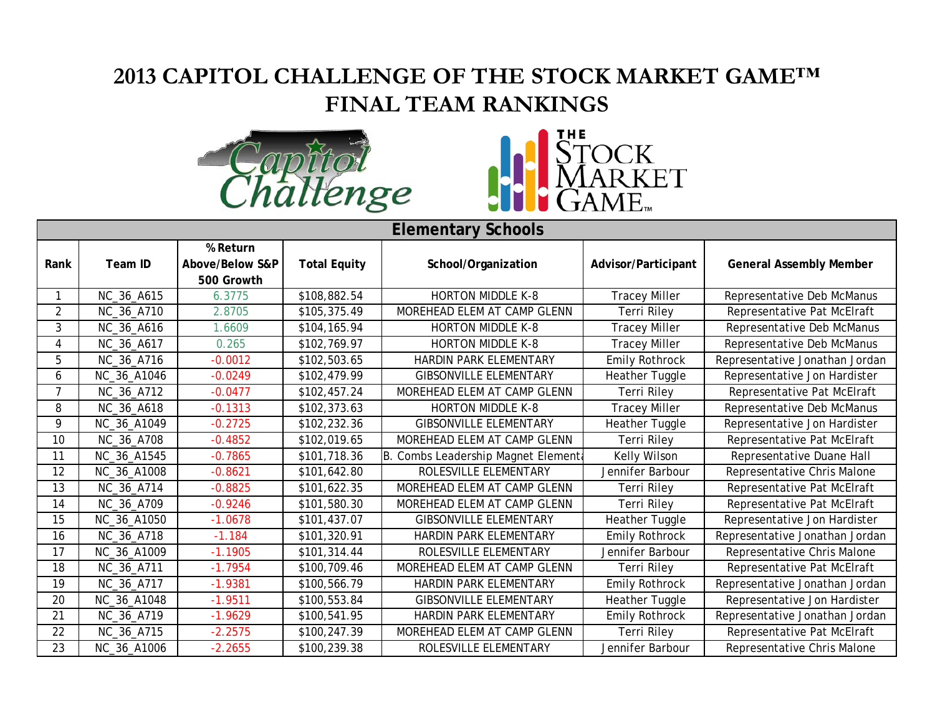## **2013 CAPITOL CHALLENGE OF THE STOCK MARKET GAME™ FINAL TEAM RANKINGS**





|                | <b>Elementary Schools</b> |                                           |                     |                                     |                       |                                |  |  |  |  |
|----------------|---------------------------|-------------------------------------------|---------------------|-------------------------------------|-----------------------|--------------------------------|--|--|--|--|
| Rank           | Team ID                   | % Return<br>Above/Below S&P<br>500 Growth | <b>Total Equity</b> | School/Organization                 | Advisor/Participant   | <b>General Assembly Member</b> |  |  |  |  |
|                | NC_36_A615                | 6.3775                                    | \$108,882.54        | <b>HORTON MIDDLE K-8</b>            | <b>Tracey Miller</b>  | Representative Deb McManus     |  |  |  |  |
| $\overline{2}$ | NC_36_A710                | 2.8705                                    | \$105,375.49        | MOREHEAD ELEM AT CAMP GLENN         | <b>Terri Riley</b>    | Representative Pat McElraft    |  |  |  |  |
| 3              | NC_36_A616                | 1.6609                                    | \$104,165.94        | <b>HORTON MIDDLE K-8</b>            | <b>Tracey Miller</b>  | Representative Deb McManus     |  |  |  |  |
| 4              | NC_36_A617                | 0.265                                     | \$102,769.97        | <b>HORTON MIDDLE K-8</b>            | <b>Tracey Miller</b>  | Representative Deb McManus     |  |  |  |  |
| 5              | NC_36_A716                | $-0.0012$                                 | \$102,503.65        | HARDIN PARK ELEMENTARY              | <b>Emily Rothrock</b> | Representative Jonathan Jordan |  |  |  |  |
| 6              | NC_36_A1046               | $-0.0249$                                 | \$102,479.99        | <b>GIBSONVILLE ELEMENTARY</b>       | Heather Tuggle        | Representative Jon Hardister   |  |  |  |  |
| $\overline{7}$ | NC_36_A712                | $-0.0477$                                 | \$102,457.24        | MOREHEAD ELEM AT CAMP GLENN         | Terri Riley           | Representative Pat McElraft    |  |  |  |  |
| 8              | NC_36_A618                | $-0.1313$                                 | \$102,373.63        | <b>HORTON MIDDLE K-8</b>            | <b>Tracey Miller</b>  | Representative Deb McManus     |  |  |  |  |
| 9              | NC_36_A1049               | $-0.2725$                                 | \$102,232.36        | <b>GIBSONVILLE ELEMENTARY</b>       | Heather Tuggle        | Representative Jon Hardister   |  |  |  |  |
| 10             | NC_36_A708                | $-0.4852$                                 | \$102,019.65        | MOREHEAD ELEM AT CAMP GLENN         | <b>Terri Riley</b>    | Representative Pat McElraft    |  |  |  |  |
| 11             | NC_36_A1545               | $-0.7865$                                 | \$101,718.36        | B. Combs Leadership Magnet Element: | Kelly Wilson          | Representative Duane Hall      |  |  |  |  |
| 12             | NC_36_A1008               | $-0.8621$                                 | \$101,642.80        | ROLESVILLE ELEMENTARY               | Jennifer Barbour      | Representative Chris Malone    |  |  |  |  |
| 13             | NC_36_A714                | $-0.8825$                                 | \$101,622.35        | MOREHEAD ELEM AT CAMP GLENN         | <b>Terri Riley</b>    | Representative Pat McElraft    |  |  |  |  |
| 14             | NC_36_A709                | $-0.9246$                                 | \$101,580.30        | MOREHEAD ELEM AT CAMP GLENN         | <b>Terri Riley</b>    | Representative Pat McElraft    |  |  |  |  |
| 15             | NC_36_A1050               | $-1.0678$                                 | \$101,437.07        | <b>GIBSONVILLE ELEMENTARY</b>       | Heather Tuggle        | Representative Jon Hardister   |  |  |  |  |
| 16             | NC_36_A718                | $-1.184$                                  | \$101,320.91        | HARDIN PARK ELEMENTARY              | <b>Emily Rothrock</b> | Representative Jonathan Jordan |  |  |  |  |
| 17             | NC_36_A1009               | $-1.1905$                                 | \$101,314.44        | ROLESVILLE ELEMENTARY               | Jennifer Barbour      | Representative Chris Malone    |  |  |  |  |
| 18             | NC_36_A711                | $-1.7954$                                 | \$100,709.46        | MOREHEAD ELEM AT CAMP GLENN         | <b>Terri Riley</b>    | Representative Pat McElraft    |  |  |  |  |
| 19             | NC_36_A717                | $-1.9381$                                 | \$100,566.79        | HARDIN PARK ELEMENTARY              | Emily Rothrock        | Representative Jonathan Jordan |  |  |  |  |
| 20             | NC_36_A1048               | $-1.9511$                                 | \$100,553.84        | <b>GIBSONVILLE ELEMENTARY</b>       | Heather Tuggle        | Representative Jon Hardister   |  |  |  |  |
| 21             | NC_36_A719                | $-1.9629$                                 | \$100,541.95        | HARDIN PARK ELEMENTARY              | <b>Emily Rothrock</b> | Representative Jonathan Jordan |  |  |  |  |
| 22             | NC_36_A715                | $-2.2575$                                 | \$100,247.39        | MOREHEAD ELEM AT CAMP GLENN         | <b>Terri Riley</b>    | Representative Pat McElraft    |  |  |  |  |
| 23             | NC_36_A1006               | $-2.2655$                                 | \$100,239.38        | ROLESVILLE ELEMENTARY               | Jennifer Barbour      | Representative Chris Malone    |  |  |  |  |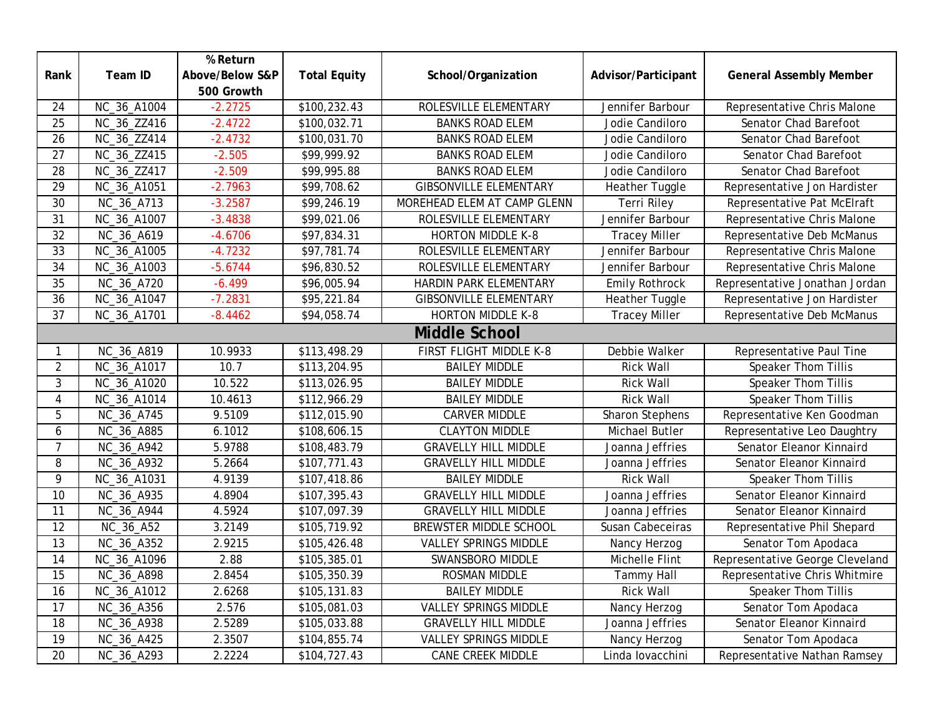|                      |             | % Return        |                     |                                |                       |                                 |  |  |
|----------------------|-------------|-----------------|---------------------|--------------------------------|-----------------------|---------------------------------|--|--|
| Rank                 | Team ID     | Above/Below S&P | <b>Total Equity</b> | School/Organization            | Advisor/Participant   | <b>General Assembly Member</b>  |  |  |
|                      |             | 500 Growth      |                     |                                |                       |                                 |  |  |
| 24                   | NC_36_A1004 | $-2.2725$       | \$100, 232.43       | ROLESVILLE ELEMENTARY          | Jennifer Barbour      | Representative Chris Malone     |  |  |
| 25                   | NC_36_ZZ416 | $-2.4722$       | \$100,032.71        | <b>BANKS ROAD ELEM</b>         | Jodie Candiloro       | Senator Chad Barefoot           |  |  |
| 26                   | NC_36_ZZ414 | $-2.4732$       | \$100,031.70        | <b>BANKS ROAD ELEM</b>         | Jodie Candiloro       | Senator Chad Barefoot           |  |  |
| 27                   | NC_36_ZZ415 | $-2.505$        | \$99,999.92         | <b>BANKS ROAD ELEM</b>         | Jodie Candiloro       | Senator Chad Barefoot           |  |  |
| 28                   | NC_36_ZZ417 | $-2.509$        | \$99,995.88         | <b>BANKS ROAD ELEM</b>         | Jodie Candiloro       | Senator Chad Barefoot           |  |  |
| 29                   | NC_36_A1051 | $-2.7963$       | \$99,708.62         | <b>GIBSONVILLE ELEMENTARY</b>  | Heather Tuggle        | Representative Jon Hardister    |  |  |
| 30                   | NC_36_A713  | $-3.2587$       | \$99,246.19         | MOREHEAD ELEM AT CAMP GLENN    | <b>Terri Riley</b>    | Representative Pat McElraft     |  |  |
| 31                   | NC_36_A1007 | $-3.4838$       | \$99,021.06         | ROLESVILLE ELEMENTARY          | Jennifer Barbour      | Representative Chris Malone     |  |  |
| 32                   | NC_36_A619  | $-4.6706$       | \$97,834.31         | <b>HORTON MIDDLE K-8</b>       | <b>Tracey Miller</b>  | Representative Deb McManus      |  |  |
| 33                   | NC_36_A1005 | $-4.7232$       | \$97,781.74         | ROLESVILLE ELEMENTARY          | Jennifer Barbour      | Representative Chris Malone     |  |  |
| 34                   | NC_36_A1003 | $-5.6744$       | \$96,830.52         | ROLESVILLE ELEMENTARY          | Jennifer Barbour      | Representative Chris Malone     |  |  |
| 35                   | NC_36_A720  | $-6.499$        | \$96,005.94         | HARDIN PARK ELEMENTARY         | <b>Emily Rothrock</b> | Representative Jonathan Jordan  |  |  |
| $\overline{36}$      | NC_36_A1047 | $-7.2831$       | \$95,221.84         | <b>GIBSONVILLE ELEMENTARY</b>  | Heather Tuggle        | Representative Jon Hardister    |  |  |
| $\overline{37}$      | NC_36_A1701 | $-8.4462$       | \$94,058.74         | <b>HORTON MIDDLE K-8</b>       | <b>Tracey Miller</b>  | Representative Deb McManus      |  |  |
| <b>Middle School</b> |             |                 |                     |                                |                       |                                 |  |  |
| 1                    | NC_36_A819  | 10.9933         | \$113,498.29        | <b>FIRST FLIGHT MIDDLE K-8</b> | Debbie Walker         | Representative Paul Tine        |  |  |
| $\overline{2}$       | NC_36_A1017 | 10.7            | \$113,204.95        | <b>BAILEY MIDDLE</b>           | Rick Wall             | Speaker Thom Tillis             |  |  |
| 3                    | NC_36_A1020 | 10.522          | \$113,026.95        | <b>BAILEY MIDDLE</b>           | <b>Rick Wall</b>      | <b>Speaker Thom Tillis</b>      |  |  |
| $\overline{4}$       | NC_36_A1014 | 10.4613         | \$112,966.29        | <b>BAILEY MIDDLE</b>           | <b>Rick Wall</b>      | Speaker Thom Tillis             |  |  |
| 5                    | NC_36_A745  | 9.5109          | \$112,015.90        | <b>CARVER MIDDLE</b>           | Sharon Stephens       | Representative Ken Goodman      |  |  |
| 6                    | NC_36_A885  | 6.1012          | \$108,606.15        | <b>CLAYTON MIDDLE</b>          | Michael Butler        | Representative Leo Daughtry     |  |  |
| $\overline{7}$       | NC_36_A942  | 5.9788          | \$108,483.79        | <b>GRAVELLY HILL MIDDLE</b>    | Joanna Jeffries       | Senator Eleanor Kinnaird        |  |  |
| 8                    | NC_36_A932  | 5.2664          | \$107,771.43        | <b>GRAVELLY HILL MIDDLE</b>    | Joanna Jeffries       | Senator Eleanor Kinnaird        |  |  |
| 9                    | NC_36_A1031 | 4.9139          | \$107,418.86        | <b>BAILEY MIDDLE</b>           | <b>Rick Wall</b>      | Speaker Thom Tillis             |  |  |
| 10                   | NC_36_A935  | 4.8904          | \$107,395.43        | <b>GRAVELLY HILL MIDDLE</b>    | Joanna Jeffries       | Senator Eleanor Kinnaird        |  |  |
| 11                   | NC_36_A944  | 4.5924          | \$107,097.39        | <b>GRAVELLY HILL MIDDLE</b>    | Joanna Jeffries       | Senator Eleanor Kinnaird        |  |  |
| 12                   | NC_36_A52   | 3.2149          | \$105,719.92        | BREWSTER MIDDLE SCHOOL         | Susan Cabeceiras      | Representative Phil Shepard     |  |  |
| 13                   | NC_36_A352  | 2.9215          | \$105,426.48        | <b>VALLEY SPRINGS MIDDLE</b>   | Nancy Herzog          | Senator Tom Apodaca             |  |  |
| 14                   | NC_36_A1096 | 2.88            | \$105,385.01        | SWANSBORO MIDDLE               | Michelle Flint        | Representative George Cleveland |  |  |
| 15                   | NC_36_A898  | 2.8454          | \$105,350.39        | <b>ROSMAN MIDDLE</b>           | <b>Tammy Hall</b>     | Representative Chris Whitmire   |  |  |
| 16                   | NC_36_A1012 | 2.6268          | \$105,131.83        | <b>BAILEY MIDDLE</b>           | <b>Rick Wall</b>      | Speaker Thom Tillis             |  |  |
| $\overline{17}$      | NC_36_A356  | 2.576           | \$105,081.03        | <b>VALLEY SPRINGS MIDDLE</b>   | Nancy Herzog          | Senator Tom Apodaca             |  |  |
| 18                   | NC_36_A938  | 2.5289          | \$105,033.88        | <b>GRAVELLY HILL MIDDLE</b>    | Joanna Jeffries       | Senator Eleanor Kinnaird        |  |  |
| 19                   | NC_36_A425  | 2.3507          | \$104,855.74        | <b>VALLEY SPRINGS MIDDLE</b>   | Nancy Herzog          | Senator Tom Apodaca             |  |  |
| 20                   | NC_36_A293  | 2.2224          | \$104,727.43        | <b>CANE CREEK MIDDLE</b>       | Linda lovacchini      | Representative Nathan Ramsey    |  |  |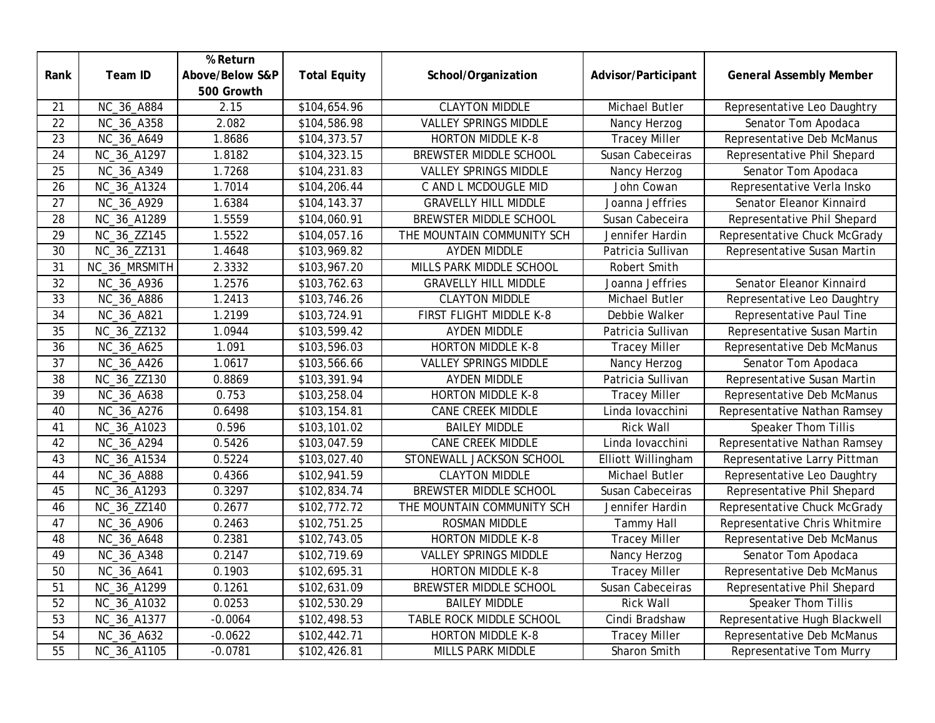|                 |               | % Return        |                     |                               |                      |                                |
|-----------------|---------------|-----------------|---------------------|-------------------------------|----------------------|--------------------------------|
| Rank            | Team ID       | Above/Below S&P | <b>Total Equity</b> | School/Organization           | Advisor/Participant  | <b>General Assembly Member</b> |
|                 |               | 500 Growth      |                     |                               |                      |                                |
| 21              | NC_36_A884    | 2.15            | \$104,654.96        | <b>CLAYTON MIDDLE</b>         | Michael Butler       | Representative Leo Daughtry    |
| $\overline{22}$ | NC_36_A358    | 2.082           | \$104,586.98        | <b>VALLEY SPRINGS MIDDLE</b>  | Nancy Herzog         | Senator Tom Apodaca            |
| 23              | NC_36_A649    | 1.8686          | \$104,373.57        | <b>HORTON MIDDLE K-8</b>      | <b>Tracey Miller</b> | Representative Deb McManus     |
| 24              | NC_36_A1297   | 1.8182          | \$104,323.15        | BREWSTER MIDDLE SCHOOL        | Susan Cabeceiras     | Representative Phil Shepard    |
| 25              | NC_36_A349    | 1.7268          | \$104,231.83        | <b>VALLEY SPRINGS MIDDLE</b>  | Nancy Herzog         | Senator Tom Apodaca            |
| 26              | NC_36_A1324   | 1.7014          | \$104,206.44        | C AND L MCDOUGLE MID          | John Cowan           | Representative Verla Insko     |
| 27              | NC_36_A929    | 1.6384          | \$104,143.37        | <b>GRAVELLY HILL MIDDLE</b>   | Joanna Jeffries      | Senator Eleanor Kinnaird       |
| 28              | NC_36_A1289   | 1.5559          | \$104,060.91        | BREWSTER MIDDLE SCHOOL        | Susan Cabeceira      | Representative Phil Shepard    |
| 29              | NC_36_ZZ145   | 1.5522          | \$104,057.16        | THE MOUNTAIN COMMUNITY SCH    | Jennifer Hardin      | Representative Chuck McGrady   |
| 30              | NC_36_ZZ131   | 1.4648          | \$103,969.82        | <b>AYDEN MIDDLE</b>           | Patricia Sullivan    | Representative Susan Martin    |
| 31              | NC_36_MRSMITH | 2.3332          | \$103,967.20        | MILLS PARK MIDDLE SCHOOL      | Robert Smith         |                                |
| 32              | NC_36_A936    | 1.2576          | \$103,762.63        | <b>GRAVELLY HILL MIDDLE</b>   | Joanna Jeffries      | Senator Eleanor Kinnaird       |
| 33              | NC_36_A886    | 1.2413          | \$103,746.26        | <b>CLAYTON MIDDLE</b>         | Michael Butler       | Representative Leo Daughtry    |
| $\overline{34}$ | NC_36_A821    | 1.2199          | \$103,724.91        | FIRST FLIGHT MIDDLE K-8       | Debbie Walker        | Representative Paul Tine       |
| $\overline{35}$ | NC_36_ZZ132   | 1.0944          | \$103,599.42        | <b>AYDEN MIDDLE</b>           | Patricia Sullivan    | Representative Susan Martin    |
| 36              | NC_36_A625    | 1.091           | \$103,596.03        | <b>HORTON MIDDLE K-8</b>      | <b>Tracey Miller</b> | Representative Deb McManus     |
| $\overline{37}$ | NC_36_A426    | 1.0617          | \$103,566.66        | <b>VALLEY SPRINGS MIDDLE</b>  | Nancy Herzog         | Senator Tom Apodaca            |
| 38              | NC_36_ZZ130   | 0.8869          | \$103,391.94        | <b>AYDEN MIDDLE</b>           | Patricia Sullivan    | Representative Susan Martin    |
| 39              | NC_36_A638    | 0.753           | \$103,258.04        | <b>HORTON MIDDLE K-8</b>      | <b>Tracey Miller</b> | Representative Deb McManus     |
| 40              | NC_36_A276    | 0.6498          | \$103,154.81        | <b>CANE CREEK MIDDLE</b>      | Linda lovacchini     | Representative Nathan Ramsey   |
| 41              | NC_36_A1023   | 0.596           | \$103,101.02        | <b>BAILEY MIDDLE</b>          | <b>Rick Wall</b>     | Speaker Thom Tillis            |
| 42              | NC_36_A294    | 0.5426          | \$103,047.59        | <b>CANE CREEK MIDDLE</b>      | Linda lovacchini     | Representative Nathan Ramsey   |
| 43              | NC_36_A1534   | 0.5224          | \$103,027.40        | STONEWALL JACKSON SCHOOL      | Elliott Willingham   | Representative Larry Pittman   |
| 44              | NC_36_A888    | 0.4366          | \$102,941.59        | <b>CLAYTON MIDDLE</b>         | Michael Butler       | Representative Leo Daughtry    |
| 45              | NC_36_A1293   | 0.3297          | \$102,834.74        | BREWSTER MIDDLE SCHOOL        | Susan Cabeceiras     | Representative Phil Shepard    |
| 46              | NC_36_ZZ140   | 0.2677          | \$102,772.72        | THE MOUNTAIN COMMUNITY SCH    | Jennifer Hardin      | Representative Chuck McGrady   |
| 47              | NC_36_A906    | 0.2463          | \$102,751.25        | <b>ROSMAN MIDDLE</b>          | <b>Tammy Hall</b>    | Representative Chris Whitmire  |
| 48              | NC_36_A648    | 0.2381          | \$102,743.05        | <b>HORTON MIDDLE K-8</b>      | <b>Tracey Miller</b> | Representative Deb McManus     |
| 49              | NC_36_A348    | 0.2147          | \$102,719.69        | <b>VALLEY SPRINGS MIDDLE</b>  | Nancy Herzog         | Senator Tom Apodaca            |
| 50              | NC_36_A641    | 0.1903          | \$102,695.31        | <b>HORTON MIDDLE K-8</b>      | <b>Tracey Miller</b> | Representative Deb McManus     |
| 51              | NC_36_A1299   | 0.1261          | \$102,631.09        | <b>BREWSTER MIDDLE SCHOOL</b> | Susan Cabeceiras     | Representative Phil Shepard    |
| 52              | NC_36_A1032   | 0.0253          | \$102,530.29        | <b>BAILEY MIDDLE</b>          | <b>Rick Wall</b>     | Speaker Thom Tillis            |
| 53              | NC_36_A1377   | $-0.0064$       | \$102,498.53        | TABLE ROCK MIDDLE SCHOOL      | Cindi Bradshaw       | Representative Hugh Blackwell  |
| 54              | NC_36_A632    | $-0.0622$       | \$102,442.71        | <b>HORTON MIDDLE K-8</b>      | <b>Tracey Miller</b> | Representative Deb McManus     |
| 55              | NC_36_A1105   | $-0.0781$       | \$102,426.81        | MILLS PARK MIDDLE             | Sharon Smith         | Representative Tom Murry       |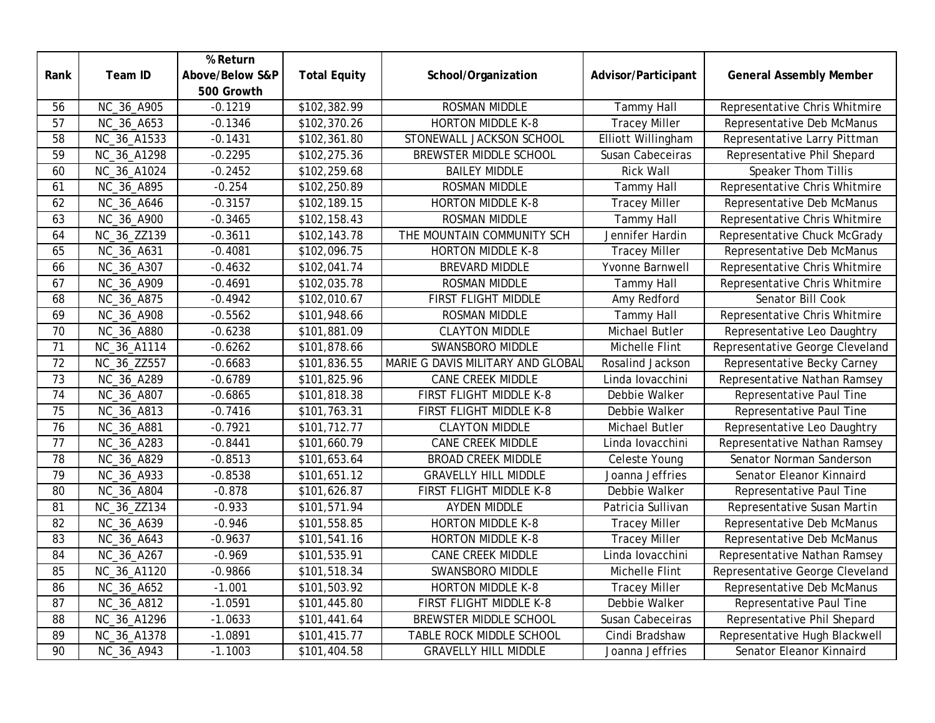|                 |             | % Return        |                     |                                   |                      |                                 |
|-----------------|-------------|-----------------|---------------------|-----------------------------------|----------------------|---------------------------------|
| Rank            | Team ID     | Above/Below S&P | <b>Total Equity</b> | School/Organization               | Advisor/Participant  | <b>General Assembly Member</b>  |
|                 |             | 500 Growth      |                     |                                   |                      |                                 |
| 56              | NC_36_A905  | $-0.1219$       | \$102,382.99        | <b>ROSMAN MIDDLE</b>              | <b>Tammy Hall</b>    | Representative Chris Whitmire   |
| 57              | NC_36_A653  | $-0.1346$       | \$102,370.26        | <b>HORTON MIDDLE K-8</b>          | <b>Tracey Miller</b> | Representative Deb McManus      |
| 58              | NC_36_A1533 | $-0.1431$       | \$102,361.80        | STONEWALL JACKSON SCHOOL          | Elliott Willingham   | Representative Larry Pittman    |
| 59              | NC_36_A1298 | $-0.2295$       | \$102,275.36        | BREWSTER MIDDLE SCHOOL            | Susan Cabeceiras     | Representative Phil Shepard     |
| 60              | NC_36_A1024 | $-0.2452$       | \$102,259.68        | <b>BAILEY MIDDLE</b>              | <b>Rick Wall</b>     | Speaker Thom Tillis             |
| 61              | NC_36_A895  | $-0.254$        | \$102,250.89        | <b>ROSMAN MIDDLE</b>              | <b>Tammy Hall</b>    | Representative Chris Whitmire   |
| 62              | NC_36_A646  | $-0.3157$       | \$102,189.15        | HORTON MIDDLE K-8                 | <b>Tracey Miller</b> | Representative Deb McManus      |
| 63              | NC_36_A900  | $-0.3465$       | \$102,158.43        | ROSMAN MIDDLE                     | <b>Tammy Hall</b>    | Representative Chris Whitmire   |
| 64              | NC_36_ZZ139 | $-0.3611$       | \$102,143.78        | THE MOUNTAIN COMMUNITY SCH        | Jennifer Hardin      | Representative Chuck McGrady    |
| 65              | NC_36_A631  | $-0.4081$       | \$102,096.75        | <b>HORTON MIDDLE K-8</b>          | <b>Tracey Miller</b> | Representative Deb McManus      |
| 66              | NC_36_A307  | $-0.4632$       | \$102,041.74        | BREVARD MIDDLE                    | Yvonne Barnwell      | Representative Chris Whitmire   |
| 67              | NC_36_A909  | $-0.4691$       | \$102,035.78        | <b>ROSMAN MIDDLE</b>              | <b>Tammy Hall</b>    | Representative Chris Whitmire   |
| 68              | NC_36_A875  | $-0.4942$       | \$102,010.67        | FIRST FLIGHT MIDDLE               | Amy Redford          | Senator Bill Cook               |
| 69              | NC_36_A908  | $-0.5562$       | \$101,948.66        | ROSMAN MIDDLE                     | <b>Tammy Hall</b>    | Representative Chris Whitmire   |
| 70              | NC_36_A880  | $-0.6238$       | \$101,881.09        | <b>CLAYTON MIDDLE</b>             | Michael Butler       | Representative Leo Daughtry     |
| 71              | NC_36_A1114 | $-0.6262$       | \$101,878.66        | SWANSBORO MIDDLE                  | Michelle Flint       | Representative George Cleveland |
| 72              | NC_36_ZZ557 | $-0.6683$       | \$101,836.55        | MARIE G DAVIS MILITARY AND GLOBAL | Rosalind Jackson     | Representative Becky Carney     |
| 73              | NC_36_A289  | $-0.6789$       | \$101,825.96        | <b>CANE CREEK MIDDLE</b>          | Linda lovacchini     | Representative Nathan Ramsey    |
| 74              | NC_36_A807  | $-0.6865$       | \$101,818.38        | FIRST FLIGHT MIDDLE K-8           | Debbie Walker        | Representative Paul Tine        |
| $\overline{75}$ | NC_36_A813  | $-0.7416$       | \$101,763.31        | FIRST FLIGHT MIDDLE K-8           | Debbie Walker        | Representative Paul Tine        |
| 76              | NC_36_A881  | $-0.7921$       | \$101,712.77        | <b>CLAYTON MIDDLE</b>             | Michael Butler       | Representative Leo Daughtry     |
| 77              | NC_36_A283  | $-0.8441$       | \$101,660.79        | <b>CANE CREEK MIDDLE</b>          | Linda lovacchini     | Representative Nathan Ramsey    |
| 78              | NC_36_A829  | $-0.8513$       | \$101,653.64        | <b>BROAD CREEK MIDDLE</b>         | Celeste Young        | Senator Norman Sanderson        |
| 79              | NC_36_A933  | $-0.8538$       | \$101,651.12        | <b>GRAVELLY HILL MIDDLE</b>       | Joanna Jeffries      | Senator Eleanor Kinnaird        |
| 80              | NC_36_A804  | $-0.878$        | \$101,626.87        | FIRST FLIGHT MIDDLE K-8           | Debbie Walker        | Representative Paul Tine        |
| 81              | NC_36_ZZ134 | $-0.933$        | \$101,571.94        | <b>AYDEN MIDDLE</b>               | Patricia Sullivan    | Representative Susan Martin     |
| 82              | NC_36_A639  | $-0.946$        | \$101,558.85        | <b>HORTON MIDDLE K-8</b>          | <b>Tracey Miller</b> | Representative Deb McManus      |
| 83              | NC_36_A643  | $-0.9637$       | \$101,541.16        | <b>HORTON MIDDLE K-8</b>          | <b>Tracey Miller</b> | Representative Deb McManus      |
| 84              | NC_36_A267  | $-0.969$        | \$101,535.91        | <b>CANE CREEK MIDDLE</b>          | Linda lovacchini     | Representative Nathan Ramsey    |
| 85              | NC_36_A1120 | $-0.9866$       | \$101,518.34        | SWANSBORO MIDDLE                  | Michelle Flint       | Representative George Cleveland |
| 86              | NC_36_A652  | $-1.001$        | \$101,503.92        | <b>HORTON MIDDLE K-8</b>          | <b>Tracey Miller</b> | Representative Deb McManus      |
| 87              | NC_36_A812  | $-1.0591$       | \$101,445.80        | FIRST FLIGHT MIDDLE K-8           | Debbie Walker        | Representative Paul Tine        |
| 88              | NC_36_A1296 | $-1.0633$       | \$101,441.64        | BREWSTER MIDDLE SCHOOL            | Susan Cabeceiras     | Representative Phil Shepard     |
| 89              | NC_36_A1378 | $-1.0891$       | \$101,415.77        | TABLE ROCK MIDDLE SCHOOL          | Cindi Bradshaw       | Representative Hugh Blackwell   |
| 90              | NC_36_A943  | $-1.1003$       | \$101,404.58        | <b>GRAVELLY HILL MIDDLE</b>       | Joanna Jeffries      | Senator Eleanor Kinnaird        |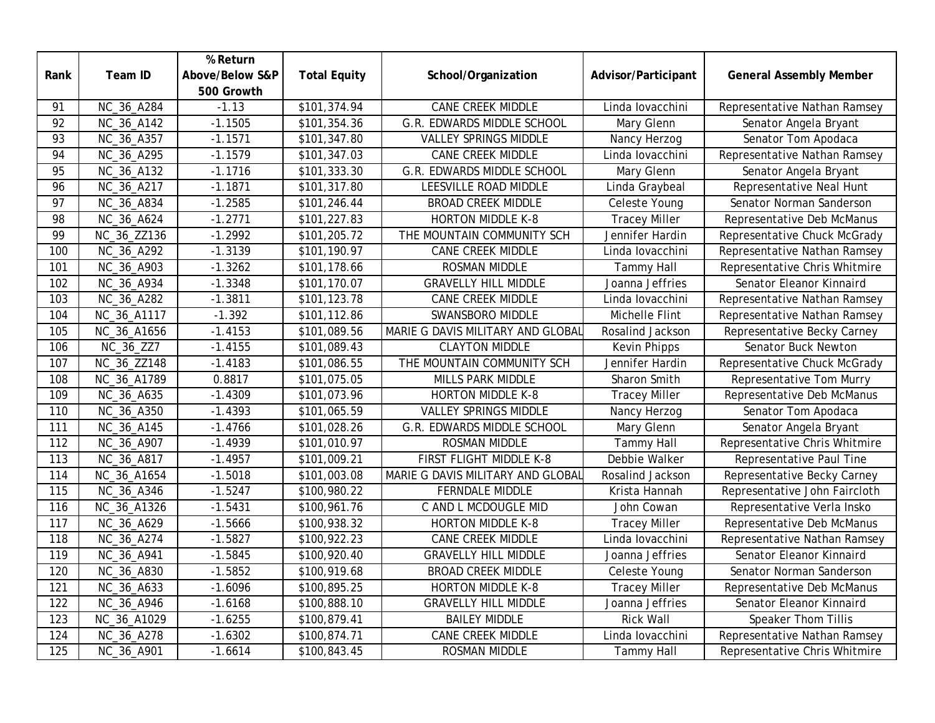|      |             | % Return        |                     |                                   |                      |                                |
|------|-------------|-----------------|---------------------|-----------------------------------|----------------------|--------------------------------|
| Rank | Team ID     | Above/Below S&P | <b>Total Equity</b> | School/Organization               | Advisor/Participant  | <b>General Assembly Member</b> |
|      |             | 500 Growth      |                     |                                   |                      |                                |
| 91   | NC_36_A284  | $-1.13$         | \$101,374.94        | <b>CANE CREEK MIDDLE</b>          | Linda lovacchini     | Representative Nathan Ramsey   |
| 92   | NC_36_A142  | $-1.1505$       | \$101,354.36        | G.R. EDWARDS MIDDLE SCHOOL        | Mary Glenn           | Senator Angela Bryant          |
| 93   | NC_36_A357  | $-1.1571$       | \$101,347.80        | <b>VALLEY SPRINGS MIDDLE</b>      | Nancy Herzog         | Senator Tom Apodaca            |
| 94   | NC_36_A295  | $-1.1579$       | \$101,347.03        | <b>CANE CREEK MIDDLE</b>          | Linda lovacchini     | Representative Nathan Ramsey   |
| 95   | NC_36_A132  | $-1.1716$       | \$101,333.30        | G.R. EDWARDS MIDDLE SCHOOL        | Mary Glenn           | Senator Angela Bryant          |
| 96   | NC_36_A217  | $-1.1871$       | \$101,317.80        | LEESVILLE ROAD MIDDLE             | Linda Graybeal       | Representative Neal Hunt       |
| 97   | NC_36_A834  | $-1.2585$       | \$101,246.44        | <b>BROAD CREEK MIDDLE</b>         | Celeste Young        | Senator Norman Sanderson       |
| 98   | NC_36_A624  | $-1.2771$       | \$101,227.83        | <b>HORTON MIDDLE K-8</b>          | <b>Tracey Miller</b> | Representative Deb McManus     |
| 99   | NC_36_ZZ136 | $-1.2992$       | \$101,205.72        | THE MOUNTAIN COMMUNITY SCH        | Jennifer Hardin      | Representative Chuck McGrady   |
| 100  | NC_36_A292  | $-1.3139$       | \$101,190.97        | CANE CREEK MIDDLE                 | Linda lovacchini     | Representative Nathan Ramsey   |
| 101  | NC_36_A903  | $-1.3262$       | \$101,178.66        | ROSMAN MIDDLE                     | <b>Tammy Hall</b>    | Representative Chris Whitmire  |
| 102  | NC_36_A934  | $-1.3348$       | \$101,170.07        | <b>GRAVELLY HILL MIDDLE</b>       | Joanna Jeffries      | Senator Eleanor Kinnaird       |
| 103  | NC_36_A282  | $-1.3811$       | \$101,123.78        | CANE CREEK MIDDLE                 | Linda lovacchini     | Representative Nathan Ramsey   |
| 104  | NC_36_A1117 | $-1.392$        | \$101,112.86        | SWANSBORO MIDDLE                  | Michelle Flint       | Representative Nathan Ramsey   |
| 105  | NC_36_A1656 | $-1.4153$       | \$101,089.56        | MARIE G DAVIS MILITARY AND GLOBAL | Rosalind Jackson     | Representative Becky Carney    |
| 106  | NC_36_ZZ7   | $-1.4155$       | \$101,089.43        | <b>CLAYTON MIDDLE</b>             | <b>Kevin Phipps</b>  | Senator Buck Newton            |
| 107  | NC_36_ZZ148 | $-1.4183$       | \$101,086.55        | THE MOUNTAIN COMMUNITY SCH        | Jennifer Hardin      | Representative Chuck McGrady   |
| 108  | NC_36_A1789 | 0.8817          | \$101,075.05        | MILLS PARK MIDDLE                 | Sharon Smith         | Representative Tom Murry       |
| 109  | NC_36_A635  | $-1.4309$       | \$101,073.96        | <b>HORTON MIDDLE K-8</b>          | <b>Tracey Miller</b> | Representative Deb McManus     |
| 110  | NC_36_A350  | $-1.4393$       | \$101,065.59        | <b>VALLEY SPRINGS MIDDLE</b>      | Nancy Herzog         | Senator Tom Apodaca            |
| 111  | NC_36_A145  | $-1.4766$       | \$101,028.26        | G.R. EDWARDS MIDDLE SCHOOL        | Mary Glenn           | Senator Angela Bryant          |
| 112  | NC_36_A907  | $-1.4939$       | \$101,010.97        | ROSMAN MIDDLE                     | <b>Tammy Hall</b>    | Representative Chris Whitmire  |
| 113  | NC_36_A817  | $-1.4957$       | \$101,009.21        | FIRST FLIGHT MIDDLE K-8           | Debbie Walker        | Representative Paul Tine       |
| 114  | NC_36_A1654 | $-1.5018$       | \$101,003.08        | MARIE G DAVIS MILITARY AND GLOBAL | Rosalind Jackson     | Representative Becky Carney    |
| 115  | NC_36_A346  | $-1.5247$       | \$100,980.22        | FERNDALE MIDDLE                   | Krista Hannah        | Representative John Faircloth  |
| 116  | NC_36_A1326 | $-1.5431$       | \$100,961.76        | C AND L MCDOUGLE MID              | John Cowan           | Representative Verla Insko     |
| 117  | NC_36_A629  | $-1.5666$       | \$100,938.32        | <b>HORTON MIDDLE K-8</b>          | <b>Tracey Miller</b> | Representative Deb McManus     |
| 118  | NC_36_A274  | $-1.5827$       | \$100,922.23        | CANE CREEK MIDDLE                 | Linda lovacchini     | Representative Nathan Ramsey   |
| 119  | NC_36_A941  | $-1.5845$       | \$100,920.40        | <b>GRAVELLY HILL MIDDLE</b>       | Joanna Jeffries      | Senator Eleanor Kinnaird       |
| 120  | NC_36_A830  | $-1.5852$       | \$100,919.68        | <b>BROAD CREEK MIDDLE</b>         | Celeste Young        | Senator Norman Sanderson       |
| 121  | NC_36_A633  | $-1.6096$       | \$100,895.25        | HORTON MIDDLE K-8                 | <b>Tracey Miller</b> | Representative Deb McManus     |
| 122  | NC_36_A946  | $-1.6168$       | \$100,888.10        | <b>GRAVELLY HILL MIDDLE</b>       | Joanna Jeffries      | Senator Eleanor Kinnaird       |
| 123  | NC_36_A1029 | $-1.6255$       | \$100,879.41        | <b>BAILEY MIDDLE</b>              | <b>Rick Wall</b>     | Speaker Thom Tillis            |
| 124  | NC_36_A278  | $-1.6302$       | \$100,874.71        | <b>CANE CREEK MIDDLE</b>          | Linda lovacchini     | Representative Nathan Ramsey   |
| 125  | NC_36_A901  | $-1.6614$       | \$100,843.45        | ROSMAN MIDDLE                     | <b>Tammy Hall</b>    | Representative Chris Whitmire  |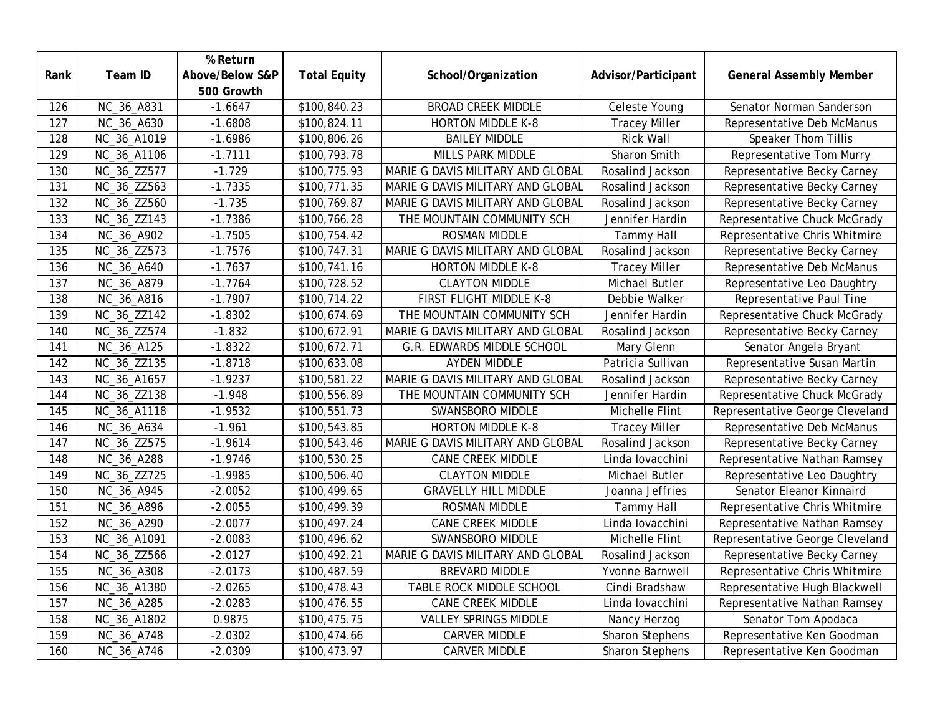|      |             | % Return        |                          |                                   |                        |                                 |
|------|-------------|-----------------|--------------------------|-----------------------------------|------------------------|---------------------------------|
| Rank | Team ID     | Above/Below S&P | <b>Total Equity</b>      | School/Organization               | Advisor/Participant    | <b>General Assembly Member</b>  |
|      |             | 500 Growth      |                          |                                   |                        |                                 |
| 126  | NC_36_A831  | $-1.6647$       | \$100,840.23             | <b>BROAD CREEK MIDDLE</b>         | Celeste Young          | Senator Norman Sanderson        |
| 127  | NC_36_A630  | $-1.6808$       | \$100,824.11             | <b>HORTON MIDDLE K-8</b>          | <b>Tracey Miller</b>   | Representative Deb McManus      |
| 128  | NC_36_A1019 | $-1.6986$       | \$100,806.26             | <b>BAILEY MIDDLE</b>              | Rick Wall              | Speaker Thom Tillis             |
| 129  | NC_36_A1106 | $-1.7111$       | \$100,793.78             | MILLS PARK MIDDLE                 | Sharon Smith           | Representative Tom Murry        |
| 130  | NC_36_ZZ577 | $-1.729$        | \$100,775.93             | MARIE G DAVIS MILITARY AND GLOBAL | Rosalind Jackson       | Representative Becky Carney     |
| 131  | NC_36_ZZ563 | $-1.7335$       | \$100,771.35             | MARIE G DAVIS MILITARY AND GLOBAL | Rosalind Jackson       | Representative Becky Carney     |
| 132  | NC_36_ZZ560 | $-1.735$        | \$100,769.87             | MARIE G DAVIS MILITARY AND GLOBAL | Rosalind Jackson       | Representative Becky Carney     |
| 133  | NC_36_ZZ143 | $-1.7386$       | \$100,766.28             | THE MOUNTAIN COMMUNITY SCH        | Jennifer Hardin        | Representative Chuck McGrady    |
| 134  | NC_36_A902  | $-1.7505$       | \$100,754.42             | <b>ROSMAN MIDDLE</b>              | <b>Tammy Hall</b>      | Representative Chris Whitmire   |
| 135  | NC_36_ZZ573 | $-1.7576$       | \$100,747.31             | MARIE G DAVIS MILITARY AND GLOBAL | Rosalind Jackson       | Representative Becky Carney     |
| 136  | NC_36_A640  | $-1.7637$       | \$100,741.16             | <b>HORTON MIDDLE K-8</b>          | <b>Tracey Miller</b>   | Representative Deb McManus      |
| 137  | NC_36_A879  | $-1.7764$       | \$100,728.52             | <b>CLAYTON MIDDLE</b>             | Michael Butler         | Representative Leo Daughtry     |
| 138  | NC_36_A816  | $-1.7907$       | \$100,714.22             | FIRST FLIGHT MIDDLE K-8           | Debbie Walker          | Representative Paul Tine        |
| 139  | NC_36_ZZ142 | $-1.8302$       | \$100,674.69             | THE MOUNTAIN COMMUNITY SCH        | Jennifer Hardin        | Representative Chuck McGrady    |
| 140  | NC_36_ZZ574 | $-1.832$        | \$100,672.91             | MARIE G DAVIS MILITARY AND GLOBAL | Rosalind Jackson       | Representative Becky Carney     |
| 141  | NC_36_A125  | $-1.8322$       | \$100,672.71             | G.R. EDWARDS MIDDLE SCHOOL        | Mary Glenn             | Senator Angela Bryant           |
| 142  | NC_36_ZZ135 | $-1.8718$       | \$100,633.08             | <b>AYDEN MIDDLE</b>               | Patricia Sullivan      | Representative Susan Martin     |
| 143  | NC_36_A1657 | $-1.9237$       | \$100,581.22             | MARIE G DAVIS MILITARY AND GLOBAL | Rosalind Jackson       | Representative Becky Carney     |
| 144  | NC_36_ZZ138 | $-1.948$        | \$100,556.89             | THE MOUNTAIN COMMUNITY SCH        | Jennifer Hardin        | Representative Chuck McGrady    |
| 145  | NC_36_A1118 | $-1.9532$       | \$100,551.73             | SWANSBORO MIDDLE                  | Michelle Flint         | Representative George Cleveland |
| 146  | NC_36_A634  | $-1.961$        | \$100,543.85             | <b>HORTON MIDDLE K-8</b>          | <b>Tracey Miller</b>   | Representative Deb McManus      |
| 147  | NC_36_ZZ575 | $-1.9614$       | \$100,543.46             | MARIE G DAVIS MILITARY AND GLOBAL | Rosalind Jackson       | Representative Becky Carney     |
| 148  | NC_36_A288  | $-1.9746$       | \$100,530.25             | CANE CREEK MIDDLE                 | Linda lovacchini       | Representative Nathan Ramsey    |
| 149  | NC_36_ZZ725 | $-1.9985$       | \$100,506.40             | <b>CLAYTON MIDDLE</b>             | Michael Butler         | Representative Leo Daughtry     |
| 150  | NC_36_A945  | $-2.0052$       | \$100,499.65             | <b>GRAVELLY HILL MIDDLE</b>       | Joanna Jeffries        | Senator Eleanor Kinnaird        |
| 151  | NC_36_A896  | $-2.0055$       | \$100,499.39             | ROSMAN MIDDLE                     | <b>Tammy Hall</b>      | Representative Chris Whitmire   |
| 152  | NC_36_A290  | $-2.0077$       | \$100,497.24             | <b>CANE CREEK MIDDLE</b>          | Linda lovacchini       | Representative Nathan Ramsey    |
| 153  | NC_36_A1091 | $-2.0083$       | \$100,496.62             | SWANSBORO MIDDLE                  | Michelle Flint         | Representative George Cleveland |
| 154  | NC_36_ZZ566 | $-2.0127$       | \$100,492.21             | MARIE G DAVIS MILITARY AND GLOBAL | Rosalind Jackson       | Representative Becky Carney     |
| 155  | NC_36_A308  | $-2.0173$       | \$100,487.59             | BREVARD MIDDLE                    | Yvonne Barnwell        | Representative Chris Whitmire   |
| 156  | NC_36_A1380 | $-2.0265$       | \$100,478.43             | TABLE ROCK MIDDLE SCHOOL          | Cindi Bradshaw         | Representative Hugh Blackwell   |
| 157  | NC_36_A285  | $-2.0283$       | \$100,476.55             | <b>CANE CREEK MIDDLE</b>          | Linda lovacchini       | Representative Nathan Ramsey    |
| 158  | NC_36_A1802 | 0.9875          | \$100,475.75             | <b>VALLEY SPRINGS MIDDLE</b>      | Nancy Herzog           | Senator Tom Apodaca             |
| 159  | NC_36_A748  | $-2.0302$       | \$100,474.66             | <b>CARVER MIDDLE</b>              | Sharon Stephens        | Representative Ken Goodman      |
| 160  | NC_36_A746  | $-2.0309$       | $\overline{$100,473.97}$ | <b>CARVER MIDDLE</b>              | <b>Sharon Stephens</b> | Representative Ken Goodman      |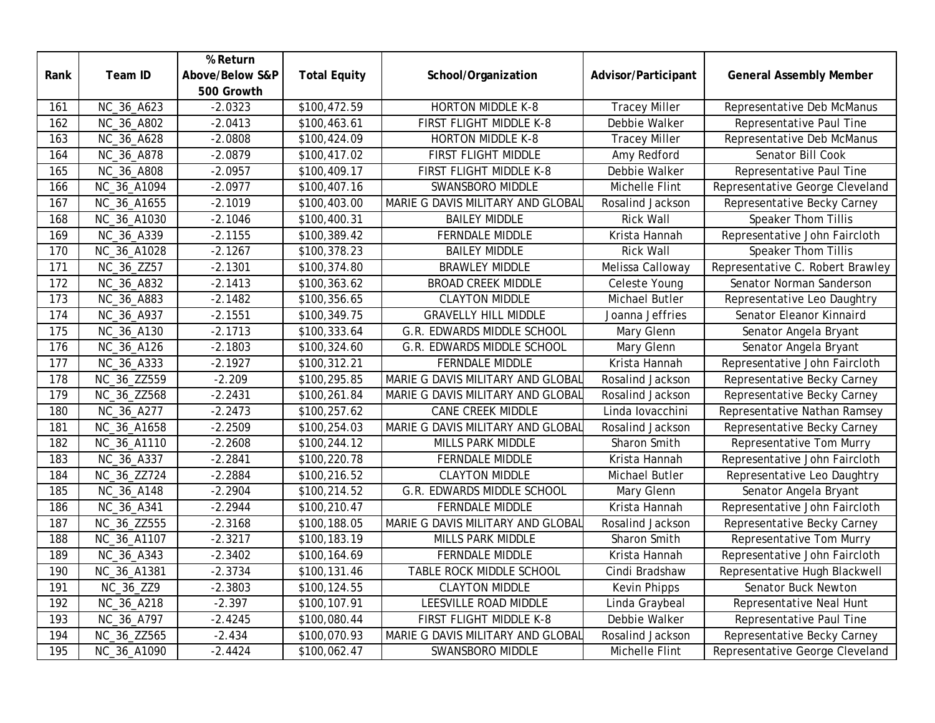|      |             | % Return        |                     |                                   |                      |                                  |
|------|-------------|-----------------|---------------------|-----------------------------------|----------------------|----------------------------------|
| Rank | Team ID     | Above/Below S&P | <b>Total Equity</b> | School/Organization               | Advisor/Participant  | <b>General Assembly Member</b>   |
|      |             | 500 Growth      |                     |                                   |                      |                                  |
| 161  | NC_36_A623  | $-2.0323$       | \$100,472.59        | <b>HORTON MIDDLE K-8</b>          | <b>Tracey Miller</b> | Representative Deb McManus       |
| 162  | NC_36_A802  | $-2.0413$       | \$100,463.61        | FIRST FLIGHT MIDDLE K-8           | <b>Debbie Walker</b> | Representative Paul Tine         |
| 163  | NC_36_A628  | $-2.0808$       | \$100,424.09        | <b>HORTON MIDDLE K-8</b>          | <b>Tracey Miller</b> | Representative Deb McManus       |
| 164  | NC_36_A878  | $-2.0879$       | \$100,417.02        | FIRST FLIGHT MIDDLE               | Amy Redford          | Senator Bill Cook                |
| 165  | NC_36_A808  | $-2.0957$       | \$100,409.17        | FIRST FLIGHT MIDDLE K-8           | Debbie Walker        | Representative Paul Tine         |
| 166  | NC_36_A1094 | $-2.0977$       | \$100,407.16        | SWANSBORO MIDDLE                  | Michelle Flint       | Representative George Cleveland  |
| 167  | NC_36_A1655 | $-2.1019$       | \$100,403.00        | MARIE G DAVIS MILITARY AND GLOBAL | Rosalind Jackson     | Representative Becky Carney      |
| 168  | NC_36_A1030 | $-2.1046$       | \$100,400.31        | <b>BAILEY MIDDLE</b>              | Rick Wall            | Speaker Thom Tillis              |
| 169  | NC_36_A339  | $-2.1155$       | \$100,389.42        | FERNDALE MIDDLE                   | Krista Hannah        | Representative John Faircloth    |
| 170  | NC_36_A1028 | $-2.1267$       | \$100,378.23        | <b>BAILEY MIDDLE</b>              | <b>Rick Wall</b>     | Speaker Thom Tillis              |
| 171  | NC_36_ZZ57  | $-2.1301$       | \$100,374.80        | <b>BRAWLEY MIDDLE</b>             | Melissa Calloway     | Representative C. Robert Brawley |
| 172  | NC_36_A832  | $-2.1413$       | \$100,363.62        | <b>BROAD CREEK MIDDLE</b>         | Celeste Young        | Senator Norman Sanderson         |
| 173  | NC_36_A883  | $-2.1482$       | \$100,356.65        | <b>CLAYTON MIDDLE</b>             | Michael Butler       | Representative Leo Daughtry      |
| 174  | NC_36_A937  | $-2.1551$       | \$100,349.75        | <b>GRAVELLY HILL MIDDLE</b>       | Joanna Jeffries      | Senator Eleanor Kinnaird         |
| 175  | NC_36_A130  | $-2.1713$       | \$100,333.64        | G.R. EDWARDS MIDDLE SCHOOL        | Mary Glenn           | Senator Angela Bryant            |
| 176  | NC_36_A126  | $-2.1803$       | \$100,324.60        | G.R. EDWARDS MIDDLE SCHOOL        | Mary Glenn           | Senator Angela Bryant            |
| 177  | NC_36_A333  | $-2.1927$       | \$100,312.21        | <b>FERNDALE MIDDLE</b>            | Krista Hannah        | Representative John Faircloth    |
| 178  | NC_36_ZZ559 | $-2.209$        | \$100,295.85        | MARIE G DAVIS MILITARY AND GLOBAL | Rosalind Jackson     | Representative Becky Carney      |
| 179  | NC_36_ZZ568 | $-2.2431$       | \$100,261.84        | MARIE G DAVIS MILITARY AND GLOBAL | Rosalind Jackson     | Representative Becky Carney      |
| 180  | NC_36_A277  | $-2.2473$       | \$100,257.62        | <b>CANE CREEK MIDDLE</b>          | Linda lovacchini     | Representative Nathan Ramsey     |
| 181  | NC_36_A1658 | $-2.2509$       | \$100,254.03        | MARIE G DAVIS MILITARY AND GLOBAL | Rosalind Jackson     | Representative Becky Carney      |
| 182  | NC_36_A1110 | $-2.2608$       | \$100,244.12        | MILLS PARK MIDDLE                 | Sharon Smith         | Representative Tom Murry         |
| 183  | NC_36_A337  | $-2.2841$       | \$100,220.78        | FERNDALE MIDDLE                   | Krista Hannah        | Representative John Faircloth    |
| 184  | NC_36_ZZ724 | $-2.2884$       | \$100,216.52        | <b>CLAYTON MIDDLE</b>             | Michael Butler       | Representative Leo Daughtry      |
| 185  | NC_36_A148  | $-2.2904$       | \$100,214.52        | G.R. EDWARDS MIDDLE SCHOOL        | Mary Glenn           | Senator Angela Bryant            |
| 186  | NC_36_A341  | $-2.2944$       | \$100,210.47        | FERNDALE MIDDLE                   | Krista Hannah        | Representative John Faircloth    |
| 187  | NC_36_ZZ555 | $-2.3168$       | \$100,188.05        | MARIE G DAVIS MILITARY AND GLOBAL | Rosalind Jackson     | Representative Becky Carney      |
| 188  | NC_36_A1107 | $-2.3217$       | \$100,183.19        | MILLS PARK MIDDLE                 | Sharon Smith         | Representative Tom Murry         |
| 189  | NC_36_A343  | $-2.3402$       | \$100,164.69        | <b>FERNDALE MIDDLE</b>            | Krista Hannah        | Representative John Faircloth    |
| 190  | NC_36_A1381 | $-2.3734$       | \$100,131.46        | TABLE ROCK MIDDLE SCHOOL          | Cindi Bradshaw       | Representative Hugh Blackwell    |
| 191  | NC_36_ZZ9   | $-2.3803$       | \$100,124.55        | <b>CLAYTON MIDDLE</b>             | <b>Kevin Phipps</b>  | Senator Buck Newton              |
| 192  | NC_36_A218  | $-2.397$        | \$100,107.91        | LEESVILLE ROAD MIDDLE             | Linda Graybeal       | Representative Neal Hunt         |
| 193  | NC_36_A797  | $-2.4245$       | \$100,080.44        | FIRST FLIGHT MIDDLE K-8           | Debbie Walker        | Representative Paul Tine         |
| 194  | NC_36_ZZ565 | $-2.434$        | \$100,070.93        | MARIE G DAVIS MILITARY AND GLOBAL | Rosalind Jackson     | Representative Becky Carney      |
| 195  | NC_36_A1090 | $-2.4424$       | \$100,062.47        | SWANSBORO MIDDLE                  | Michelle Flint       | Representative George Cleveland  |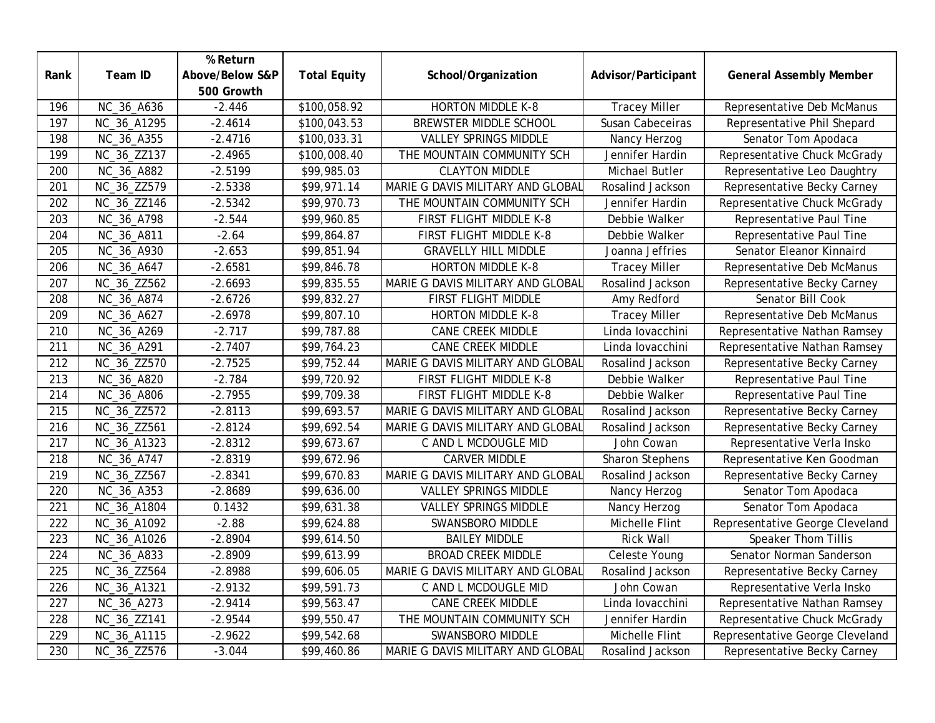|      |             | % Return        |                     |                                   |                        |                                 |
|------|-------------|-----------------|---------------------|-----------------------------------|------------------------|---------------------------------|
| Rank | Team ID     | Above/Below S&P | <b>Total Equity</b> | School/Organization               | Advisor/Participant    | <b>General Assembly Member</b>  |
|      |             | 500 Growth      |                     |                                   |                        |                                 |
| 196  | NC_36_A636  | $-2.446$        | \$100,058.92        | <b>HORTON MIDDLE K-8</b>          | <b>Tracey Miller</b>   | Representative Deb McManus      |
| 197  | NC_36_A1295 | $-2.4614$       | \$100,043.53        | BREWSTER MIDDLE SCHOOL            | Susan Cabeceiras       | Representative Phil Shepard     |
| 198  | NC_36_A355  | $-2.4716$       | \$100,033.31        | <b>VALLEY SPRINGS MIDDLE</b>      | Nancy Herzog           | Senator Tom Apodaca             |
| 199  | NC_36_ZZ137 | $-2.4965$       | \$100,008.40        | THE MOUNTAIN COMMUNITY SCH        | Jennifer Hardin        | Representative Chuck McGrady    |
| 200  | NC_36_A882  | $-2.5199$       | \$99,985.03         | <b>CLAYTON MIDDLE</b>             | Michael Butler         | Representative Leo Daughtry     |
| 201  | NC_36_ZZ579 | $-2.5338$       | \$99,971.14         | MARIE G DAVIS MILITARY AND GLOBAL | Rosalind Jackson       | Representative Becky Carney     |
| 202  | NC_36_ZZ146 | $-2.5342$       | \$99,970.73         | THE MOUNTAIN COMMUNITY SCH        | Jennifer Hardin        | Representative Chuck McGrady    |
| 203  | NC_36_A798  | $-2.544$        | \$99,960.85         | FIRST FLIGHT MIDDLE K-8           | Debbie Walker          | Representative Paul Tine        |
| 204  | NC_36_A811  | $-2.64$         | \$99,864.87         | FIRST FLIGHT MIDDLE K-8           | Debbie Walker          | Representative Paul Tine        |
| 205  | NC_36_A930  | $-2.653$        | \$99,851.94         | <b>GRAVELLY HILL MIDDLE</b>       | Joanna Jeffries        | Senator Eleanor Kinnaird        |
| 206  | NC_36_A647  | $-2.6581$       | \$99,846.78         | <b>HORTON MIDDLE K-8</b>          | <b>Tracey Miller</b>   | Representative Deb McManus      |
| 207  | NC_36_ZZ562 | $-2.6693$       | \$99,835.55         | MARIE G DAVIS MILITARY AND GLOBAL | Rosalind Jackson       | Representative Becky Carney     |
| 208  | NC_36_A874  | $-2.6726$       | \$99,832.27         | FIRST FLIGHT MIDDLE               | Amy Redford            | Senator Bill Cook               |
| 209  | NC_36_A627  | $-2.6978$       | \$99,807.10         | <b>HORTON MIDDLE K-8</b>          | <b>Tracey Miller</b>   | Representative Deb McManus      |
| 210  | NC_36_A269  | $-2.717$        | \$99,787.88         | <b>CANE CREEK MIDDLE</b>          | Linda lovacchini       | Representative Nathan Ramsey    |
| 211  | NC_36_A291  | $-2.7407$       | \$99,764.23         | <b>CANE CREEK MIDDLE</b>          | Linda lovacchini       | Representative Nathan Ramsey    |
| 212  | NC_36_ZZ570 | $-2.7525$       | \$99,752.44         | MARIE G DAVIS MILITARY AND GLOBAL | Rosalind Jackson       | Representative Becky Carney     |
| 213  | NC_36_A820  | $-2.784$        | \$99,720.92         | FIRST FLIGHT MIDDLE K-8           | Debbie Walker          | Representative Paul Tine        |
| 214  | NC_36_A806  | $-2.7955$       | \$99,709.38         | FIRST FLIGHT MIDDLE K-8           | Debbie Walker          | Representative Paul Tine        |
| 215  | NC_36_ZZ572 | $-2.8113$       | \$99,693.57         | MARIE G DAVIS MILITARY AND GLOBAL | Rosalind Jackson       | Representative Becky Carney     |
| 216  | NC_36_ZZ561 | $-2.8124$       | \$99,692.54         | MARIE G DAVIS MILITARY AND GLOBAL | Rosalind Jackson       | Representative Becky Carney     |
| 217  | NC_36_A1323 | $-2.8312$       | \$99,673.67         | C AND L MCDOUGLE MID              | John Cowan             | Representative Verla Insko      |
| 218  | NC_36_A747  | $-2.8319$       | \$99,672.96         | <b>CARVER MIDDLE</b>              | <b>Sharon Stephens</b> | Representative Ken Goodman      |
| 219  | NC_36_ZZ567 | $-2.8341$       | \$99,670.83         | MARIE G DAVIS MILITARY AND GLOBAL | Rosalind Jackson       | Representative Becky Carney     |
| 220  | NC_36_A353  | $-2.8689$       | \$99,636.00         | <b>VALLEY SPRINGS MIDDLE</b>      | Nancy Herzog           | Senator Tom Apodaca             |
| 221  | NC_36_A1804 | 0.1432          | \$99,631.38         | <b>VALLEY SPRINGS MIDDLE</b>      | Nancy Herzog           | Senator Tom Apodaca             |
| 222  | NC_36_A1092 | $-2.88$         | \$99,624.88         | SWANSBORO MIDDLE                  | Michelle Flint         | Representative George Cleveland |
| 223  | NC_36_A1026 | $-2.8904$       | \$99,614.50         | <b>BAILEY MIDDLE</b>              | <b>Rick Wall</b>       | Speaker Thom Tillis             |
| 224  | NC_36_A833  | $-2.8909$       | \$99,613.99         | <b>BROAD CREEK MIDDLE</b>         | Celeste Young          | Senator Norman Sanderson        |
| 225  | NC_36_ZZ564 | $-2.8988$       | \$99,606.05         | MARIE G DAVIS MILITARY AND GLOBAL | Rosalind Jackson       | Representative Becky Carney     |
| 226  | NC_36_A1321 | $-2.9132$       | \$99,591.73         | C AND L MCDOUGLE MID              | John Cowan             | Representative Verla Insko      |
| 227  | NC_36_A273  | $-2.9414$       | \$99,563.47         | <b>CANE CREEK MIDDLE</b>          | Linda lovacchini       | Representative Nathan Ramsey    |
| 228  | NC_36_ZZ141 | $-2.9544$       | \$99,550.47         | THE MOUNTAIN COMMUNITY SCH        | Jennifer Hardin        | Representative Chuck McGrady    |
| 229  | NC_36_A1115 | $-2.9622$       | \$99,542.68         | SWANSBORO MIDDLE                  | Michelle Flint         | Representative George Cleveland |
| 230  | NC_36_ZZ576 | $-3.044$        | \$99,460.86         | MARIE G DAVIS MILITARY AND GLOBAL | Rosalind Jackson       | Representative Becky Carney     |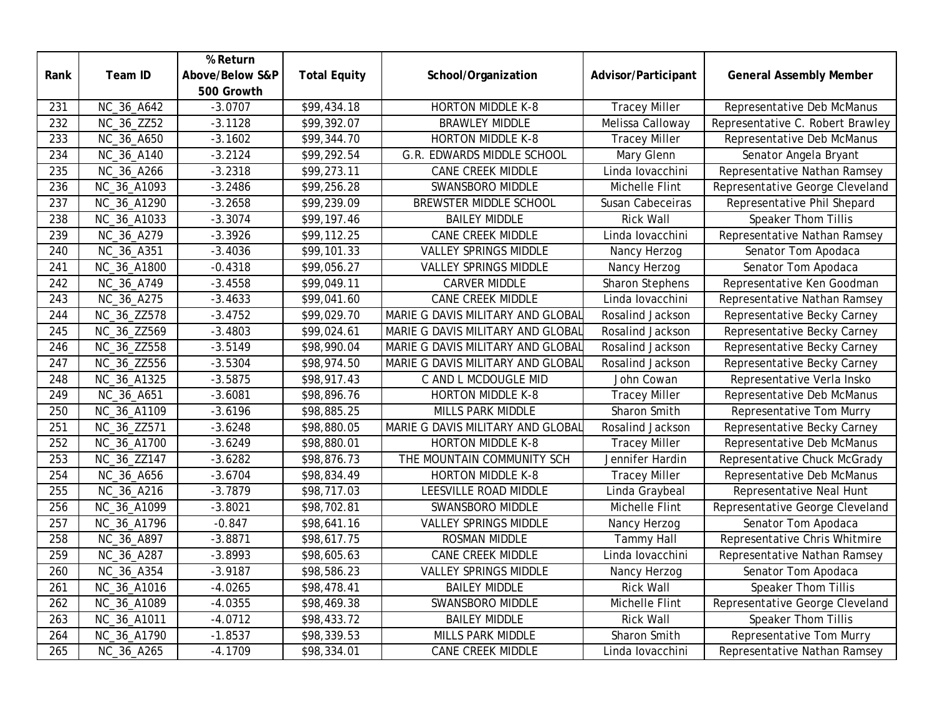|      |             | % Return        |                     |                                   |                        |                                  |
|------|-------------|-----------------|---------------------|-----------------------------------|------------------------|----------------------------------|
| Rank | Team ID     | Above/Below S&P | <b>Total Equity</b> | School/Organization               | Advisor/Participant    | <b>General Assembly Member</b>   |
|      |             | 500 Growth      |                     |                                   |                        |                                  |
| 231  | NC_36_A642  | $-3.0707$       | \$99,434.18         | <b>HORTON MIDDLE K-8</b>          | <b>Tracey Miller</b>   | Representative Deb McManus       |
| 232  | NC_36_ZZ52  | $-3.1128$       | \$99,392.07         | <b>BRAWLEY MIDDLE</b>             | Melissa Calloway       | Representative C. Robert Brawley |
| 233  | NC_36_A650  | $-3.1602$       | \$99,344.70         | <b>HORTON MIDDLE K-8</b>          | <b>Tracey Miller</b>   | Representative Deb McManus       |
| 234  | NC_36_A140  | $-3.2124$       | \$99,292.54         | G.R. EDWARDS MIDDLE SCHOOL        | Mary Glenn             | Senator Angela Bryant            |
| 235  | NC_36_A266  | $-3.2318$       | \$99,273.11         | <b>CANE CREEK MIDDLE</b>          | Linda lovacchini       | Representative Nathan Ramsey     |
| 236  | NC_36_A1093 | $-3.2486$       | \$99,256.28         | SWANSBORO MIDDLE                  | Michelle Flint         | Representative George Cleveland  |
| 237  | NC_36_A1290 | $-3.2658$       | \$99,239.09         | BREWSTER MIDDLE SCHOOL            | Susan Cabeceiras       | Representative Phil Shepard      |
| 238  | NC_36_A1033 | $-3.3074$       | \$99,197.46         | <b>BAILEY MIDDLE</b>              | <b>Rick Wall</b>       | Speaker Thom Tillis              |
| 239  | NC_36_A279  | $-3.3926$       | \$99,112.25         | <b>CANE CREEK MIDDLE</b>          | Linda lovacchini       | Representative Nathan Ramsey     |
| 240  | NC_36_A351  | $-3.4036$       | \$99,101.33         | <b>VALLEY SPRINGS MIDDLE</b>      | Nancy Herzog           | Senator Tom Apodaca              |
| 241  | NC_36_A1800 | $-0.4318$       | \$99,056.27         | <b>VALLEY SPRINGS MIDDLE</b>      | Nancy Herzog           | Senator Tom Apodaca              |
| 242  | NC_36_A749  | $-3.4558$       | \$99,049.11         | <b>CARVER MIDDLE</b>              | <b>Sharon Stephens</b> | Representative Ken Goodman       |
| 243  | NC_36_A275  | $-3.4633$       | \$99,041.60         | CANE CREEK MIDDLE                 | Linda lovacchini       | Representative Nathan Ramsey     |
| 244  | NC_36_ZZ578 | $-3.4752$       | \$99,029.70         | MARIE G DAVIS MILITARY AND GLOBAL | Rosalind Jackson       | Representative Becky Carney      |
| 245  | NC_36_ZZ569 | $-3.4803$       | \$99,024.61         | MARIE G DAVIS MILITARY AND GLOBAL | Rosalind Jackson       | Representative Becky Carney      |
| 246  | NC_36_ZZ558 | $-3.5149$       | \$98,990.04         | MARIE G DAVIS MILITARY AND GLOBAL | Rosalind Jackson       | Representative Becky Carney      |
| 247  | NC_36_ZZ556 | $-3.5304$       | \$98,974.50         | MARIE G DAVIS MILITARY AND GLOBAL | Rosalind Jackson       | Representative Becky Carney      |
| 248  | NC_36_A1325 | $-3.5875$       | \$98,917.43         | C AND L MCDOUGLE MID              | John Cowan             | Representative Verla Insko       |
| 249  | NC_36_A651  | $-3.6081$       | \$98,896.76         | <b>HORTON MIDDLE K-8</b>          | <b>Tracey Miller</b>   | Representative Deb McManus       |
| 250  | NC_36_A1109 | $-3.6196$       | \$98,885.25         | MILLS PARK MIDDLE                 | Sharon Smith           | Representative Tom Murry         |
| 251  | NC_36_ZZ571 | $-3.6248$       | \$98,880.05         | MARIE G DAVIS MILITARY AND GLOBAL | Rosalind Jackson       | Representative Becky Carney      |
| 252  | NC_36_A1700 | $-3.6249$       | \$98,880.01         | <b>HORTON MIDDLE K-8</b>          | <b>Tracey Miller</b>   | Representative Deb McManus       |
| 253  | NC_36_ZZ147 | $-3.6282$       | \$98,876.73         | THE MOUNTAIN COMMUNITY SCH        | Jennifer Hardin        | Representative Chuck McGrady     |
| 254  | NC_36_A656  | $-3.6704$       | \$98,834.49         | <b>HORTON MIDDLE K-8</b>          | <b>Tracey Miller</b>   | Representative Deb McManus       |
| 255  | NC_36_A216  | $-3.7879$       | \$98,717.03         | LEESVILLE ROAD MIDDLE             | Linda Graybeal         | Representative Neal Hunt         |
| 256  | NC_36_A1099 | $-3.8021$       | \$98,702.81         | SWANSBORO MIDDLE                  | Michelle Flint         | Representative George Cleveland  |
| 257  | NC_36_A1796 | $-0.847$        | \$98,641.16         | <b>VALLEY SPRINGS MIDDLE</b>      | Nancy Herzog           | Senator Tom Apodaca              |
| 258  | NC_36_A897  | $-3.8871$       | \$98,617.75         | ROSMAN MIDDLE                     | <b>Tammy Hall</b>      | Representative Chris Whitmire    |
| 259  | NC_36_A287  | $-3.8993$       | \$98,605.63         | <b>CANE CREEK MIDDLE</b>          | Linda lovacchini       | Representative Nathan Ramsey     |
| 260  | NC_36_A354  | $-3.9187$       | \$98,586.23         | <b>VALLEY SPRINGS MIDDLE</b>      | Nancy Herzog           | Senator Tom Apodaca              |
| 261  | NC_36_A1016 | $-4.0265$       | \$98,478.41         | <b>BAILEY MIDDLE</b>              | Rick Wall              | Speaker Thom Tillis              |
| 262  | NC_36_A1089 | $-4.0355$       | \$98,469.38         | SWANSBORO MIDDLE                  | Michelle Flint         | Representative George Cleveland  |
| 263  | NC_36_A1011 | $-4.0712$       | \$98,433.72         | <b>BAILEY MIDDLE</b>              | <b>Rick Wall</b>       | Speaker Thom Tillis              |
| 264  | NC_36_A1790 | $-1.8537$       | \$98,339.53         | MILLS PARK MIDDLE                 | Sharon Smith           | Representative Tom Murry         |
| 265  | NC_36_A265  | $-4.1709$       | \$98,334.01         | <b>CANE CREEK MIDDLE</b>          | Linda lovacchini       | Representative Nathan Ramsey     |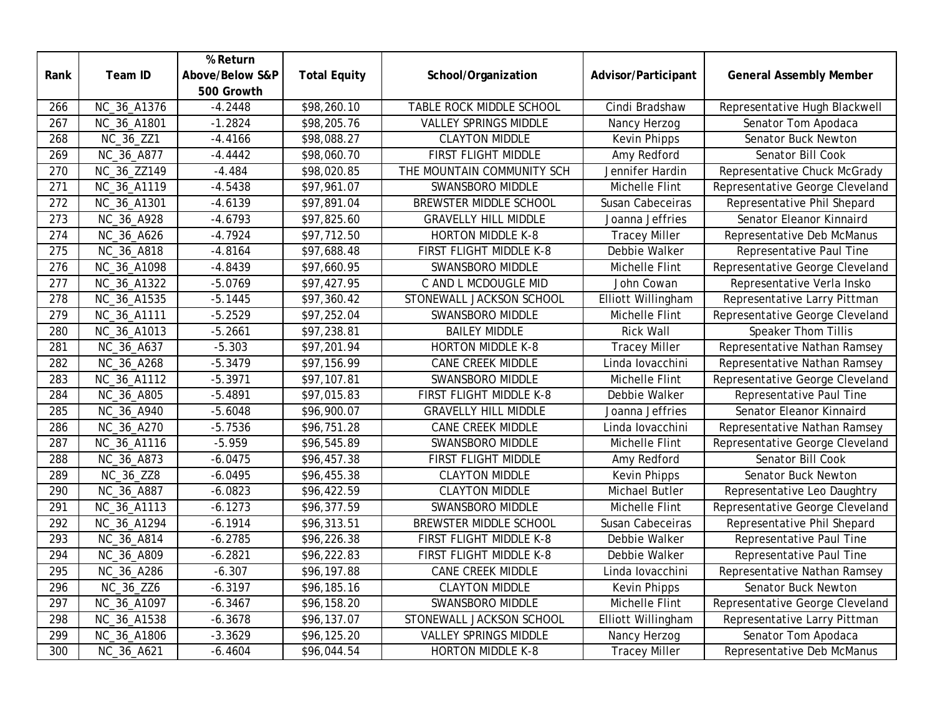|      |             | % Return        |                     |                                 |                      |                                 |
|------|-------------|-----------------|---------------------|---------------------------------|----------------------|---------------------------------|
| Rank | Team ID     | Above/Below S&P | <b>Total Equity</b> | School/Organization             | Advisor/Participant  | <b>General Assembly Member</b>  |
|      |             | 500 Growth      |                     |                                 |                      |                                 |
| 266  | NC_36_A1376 | $-4.2448$       | \$98,260.10         | <b>TABLE ROCK MIDDLE SCHOOL</b> | Cindi Bradshaw       | Representative Hugh Blackwell   |
| 267  | NC_36_A1801 | $-1.2824$       | \$98,205.76         | <b>VALLEY SPRINGS MIDDLE</b>    | Nancy Herzog         | Senator Tom Apodaca             |
| 268  | NC_36_ZZ1   | $-4.4166$       | \$98,088.27         | <b>CLAYTON MIDDLE</b>           | <b>Kevin Phipps</b>  | Senator Buck Newton             |
| 269  | NC_36_A877  | $-4.4442$       | \$98,060.70         | FIRST FLIGHT MIDDLE             | Amy Redford          | Senator Bill Cook               |
| 270  | NC_36_ZZ149 | $-4.484$        | \$98,020.85         | THE MOUNTAIN COMMUNITY SCH      | Jennifer Hardin      | Representative Chuck McGrady    |
| 271  | NC_36_A1119 | $-4.5438$       | \$97,961.07         | SWANSBORO MIDDLE                | Michelle Flint       | Representative George Cleveland |
| 272  | NC_36_A1301 | $-4.6139$       | \$97,891.04         | BREWSTER MIDDLE SCHOOL          | Susan Cabeceiras     | Representative Phil Shepard     |
| 273  | NC_36_A928  | $-4.6793$       | \$97,825.60         | <b>GRAVELLY HILL MIDDLE</b>     | Joanna Jeffries      | Senator Eleanor Kinnaird        |
| 274  | NC_36_A626  | $-4.7924$       | \$97,712.50         | <b>HORTON MIDDLE K-8</b>        | <b>Tracey Miller</b> | Representative Deb McManus      |
| 275  | NC_36_A818  | $-4.8164$       | \$97,688.48         | FIRST FLIGHT MIDDLE K-8         | Debbie Walker        | Representative Paul Tine        |
| 276  | NC_36_A1098 | $-4.8439$       | \$97,660.95         | SWANSBORO MIDDLE                | Michelle Flint       | Representative George Cleveland |
| 277  | NC_36_A1322 | $-5.0769$       | \$97,427.95         | C AND L MCDOUGLE MID            | John Cowan           | Representative Verla Insko      |
| 278  | NC_36_A1535 | $-5.1445$       | \$97,360.42         | STONEWALL JACKSON SCHOOL        | Elliott Willingham   | Representative Larry Pittman    |
| 279  | NC_36_A1111 | $-5.2529$       | \$97,252.04         | SWANSBORO MIDDLE                | Michelle Flint       | Representative George Cleveland |
| 280  | NC_36_A1013 | $-5.2661$       | \$97,238.81         | <b>BAILEY MIDDLE</b>            | <b>Rick Wall</b>     | Speaker Thom Tillis             |
| 281  | NC_36_A637  | $-5.303$        | \$97,201.94         | <b>HORTON MIDDLE K-8</b>        | <b>Tracey Miller</b> | Representative Nathan Ramsey    |
| 282  | NC_36_A268  | $-5.3479$       | \$97,156.99         | <b>CANE CREEK MIDDLE</b>        | Linda lovacchini     | Representative Nathan Ramsey    |
| 283  | NC_36_A1112 | $-5.3971$       | \$97,107.81         | SWANSBORO MIDDLE                | Michelle Flint       | Representative George Cleveland |
| 284  | NC_36_A805  | $-5.4891$       | \$97,015.83         | FIRST FLIGHT MIDDLE K-8         | Debbie Walker        | Representative Paul Tine        |
| 285  | NC_36_A940  | $-5.6048$       | \$96,900.07         | <b>GRAVELLY HILL MIDDLE</b>     | Joanna Jeffries      | Senator Eleanor Kinnaird        |
| 286  | NC_36_A270  | $-5.7536$       | \$96,751.28         | <b>CANE CREEK MIDDLE</b>        | Linda lovacchini     | Representative Nathan Ramsey    |
| 287  | NC_36_A1116 | $-5.959$        | \$96,545.89         | SWANSBORO MIDDLE                | Michelle Flint       | Representative George Cleveland |
| 288  | NC_36_A873  | $-6.0475$       | \$96,457.38         | FIRST FLIGHT MIDDLE             | Amy Redford          | Senator Bill Cook               |
| 289  | NC_36_ZZ8   | $-6.0495$       | \$96,455.38         | <b>CLAYTON MIDDLE</b>           | <b>Kevin Phipps</b>  | Senator Buck Newton             |
| 290  | NC_36_A887  | $-6.0823$       | \$96,422.59         | <b>CLAYTON MIDDLE</b>           | Michael Butler       | Representative Leo Daughtry     |
| 291  | NC_36_A1113 | $-6.1273$       | \$96,377.59         | SWANSBORO MIDDLE                | Michelle Flint       | Representative George Cleveland |
| 292  | NC_36_A1294 | $-6.1914$       | \$96,313.51         | BREWSTER MIDDLE SCHOOL          | Susan Cabeceiras     | Representative Phil Shepard     |
| 293  | NC_36_A814  | $-6.2785$       | \$96,226.38         | FIRST FLIGHT MIDDLE K-8         | Debbie Walker        | Representative Paul Tine        |
| 294  | NC_36_A809  | $-6.2821$       | \$96,222.83         | FIRST FLIGHT MIDDLE K-8         | Debbie Walker        | Representative Paul Tine        |
| 295  | NC_36_A286  | $-6.307$        | \$96,197.88         | CANE CREEK MIDDLE               | Linda lovacchini     | Representative Nathan Ramsey    |
| 296  | NC_36_ZZ6   | $-6.3197$       | \$96,185.16         | <b>CLAYTON MIDDLE</b>           | <b>Kevin Phipps</b>  | Senator Buck Newton             |
| 297  | NC_36_A1097 | $-6.3467$       | \$96,158.20         | SWANSBORO MIDDLE                | Michelle Flint       | Representative George Cleveland |
| 298  | NC_36_A1538 | $-6.3678$       | \$96,137.07         | STONEWALL JACKSON SCHOOL        | Elliott Willingham   | Representative Larry Pittman    |
| 299  | NC_36_A1806 | $-3.3629$       | \$96,125.20         | <b>VALLEY SPRINGS MIDDLE</b>    | Nancy Herzog         | Senator Tom Apodaca             |
| 300  | NC_36_A621  | $-6.4604$       | \$96,044.54         | <b>HORTON MIDDLE K-8</b>        | <b>Tracey Miller</b> | Representative Deb McManus      |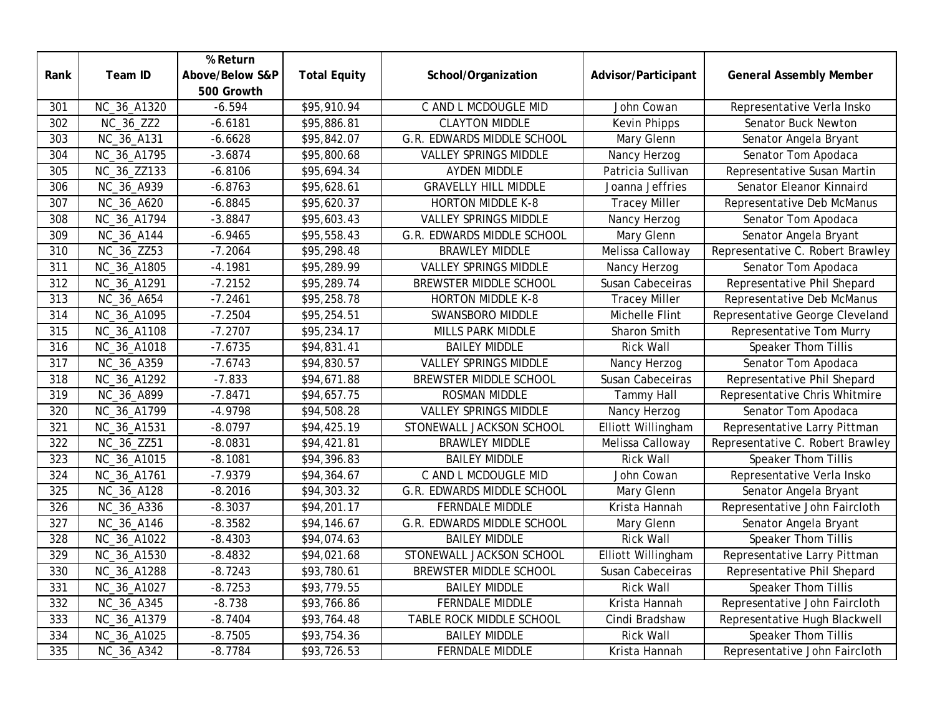|      |             | % Return        |                     |                              |                      |                                  |
|------|-------------|-----------------|---------------------|------------------------------|----------------------|----------------------------------|
| Rank | Team ID     | Above/Below S&P | <b>Total Equity</b> | School/Organization          | Advisor/Participant  | <b>General Assembly Member</b>   |
|      |             | 500 Growth      |                     |                              |                      |                                  |
| 301  | NC_36_A1320 | $-6.594$        | \$95,910.94         | C AND L MCDOUGLE MID         | John Cowan           | Representative Verla Insko       |
| 302  | NC_36_ZZ2   | $-6.6181$       | \$95,886.81         | <b>CLAYTON MIDDLE</b>        | <b>Kevin Phipps</b>  | Senator Buck Newton              |
| 303  | NC_36_A131  | $-6.6628$       | \$95,842.07         | G.R. EDWARDS MIDDLE SCHOOL   | Mary Glenn           | Senator Angela Bryant            |
| 304  | NC_36_A1795 | $-3.6874$       | \$95,800.68         | <b>VALLEY SPRINGS MIDDLE</b> | Nancy Herzog         | Senator Tom Apodaca              |
| 305  | NC_36_ZZ133 | $-6.8106$       | \$95,694.34         | <b>AYDEN MIDDLE</b>          | Patricia Sullivan    | Representative Susan Martin      |
| 306  | NC_36_A939  | $-6.8763$       | \$95,628.61         | <b>GRAVELLY HILL MIDDLE</b>  | Joanna Jeffries      | Senator Eleanor Kinnaird         |
| 307  | NC_36_A620  | $-6.8845$       | \$95,620.37         | <b>HORTON MIDDLE K-8</b>     | <b>Tracey Miller</b> | Representative Deb McManus       |
| 308  | NC_36_A1794 | $-3.8847$       | \$95,603.43         | <b>VALLEY SPRINGS MIDDLE</b> | Nancy Herzog         | Senator Tom Apodaca              |
| 309  | NC_36_A144  | $-6.9465$       | \$95,558.43         | G.R. EDWARDS MIDDLE SCHOOL   | Mary Glenn           | Senator Angela Bryant            |
| 310  | NC_36_ZZ53  | $-7.2064$       | \$95,298.48         | <b>BRAWLEY MIDDLE</b>        | Melissa Calloway     | Representative C. Robert Brawley |
| 311  | NC_36_A1805 | $-4.1981$       | \$95,289.99         | <b>VALLEY SPRINGS MIDDLE</b> | Nancy Herzog         | Senator Tom Apodaca              |
| 312  | NC_36_A1291 | $-7.2152$       | \$95,289.74         | BREWSTER MIDDLE SCHOOL       | Susan Cabeceiras     | Representative Phil Shepard      |
| 313  | NC_36_A654  | $-7.2461$       | \$95,258.78         | <b>HORTON MIDDLE K-8</b>     | <b>Tracey Miller</b> | Representative Deb McManus       |
| 314  | NC_36_A1095 | $-7.2504$       | \$95,254.51         | SWANSBORO MIDDLE             | Michelle Flint       | Representative George Cleveland  |
| 315  | NC_36_A1108 | $-7.2707$       | \$95,234.17         | MILLS PARK MIDDLE            | Sharon Smith         | Representative Tom Murry         |
| 316  | NC_36_A1018 | $-7.6735$       | \$94,831.41         | <b>BAILEY MIDDLE</b>         | <b>Rick Wall</b>     | Speaker Thom Tillis              |
| 317  | NC_36_A359  | $-7.6743$       | \$94,830.57         | <b>VALLEY SPRINGS MIDDLE</b> | Nancy Herzog         | Senator Tom Apodaca              |
| 318  | NC_36_A1292 | $-7.833$        | \$94,671.88         | BREWSTER MIDDLE SCHOOL       | Susan Cabeceiras     | Representative Phil Shepard      |
| 319  | NC_36_A899  | $-7.8471$       | \$94,657.75         | <b>ROSMAN MIDDLE</b>         | <b>Tammy Hall</b>    | Representative Chris Whitmire    |
| 320  | NC_36_A1799 | $-4.9798$       | \$94,508.28         | <b>VALLEY SPRINGS MIDDLE</b> | Nancy Herzog         | Senator Tom Apodaca              |
| 321  | NC_36_A1531 | $-8.0797$       | \$94,425.19         | STONEWALL JACKSON SCHOOL     | Elliott Willingham   | Representative Larry Pittman     |
| 322  | NC_36_ZZ51  | $-8.0831$       | \$94,421.81         | <b>BRAWLEY MIDDLE</b>        | Melissa Calloway     | Representative C. Robert Brawley |
| 323  | NC_36_A1015 | $-8.1081$       | \$94,396.83         | <b>BAILEY MIDDLE</b>         | <b>Rick Wall</b>     | Speaker Thom Tillis              |
| 324  | NC_36_A1761 | $-7.9379$       | \$94,364.67         | C AND L MCDOUGLE MID         | John Cowan           | Representative Verla Insko       |
| 325  | NC_36_A128  | $-8.2016$       | \$94,303.32         | G.R. EDWARDS MIDDLE SCHOOL   | Mary Glenn           | Senator Angela Bryant            |
| 326  | NC_36_A336  | $-8.3037$       | \$94,201.17         | FERNDALE MIDDLE              | Krista Hannah        | Representative John Faircloth    |
| 327  | NC_36_A146  | $-8.3582$       | \$94,146.67         | G.R. EDWARDS MIDDLE SCHOOL   | Mary Glenn           | Senator Angela Bryant            |
| 328  | NC_36_A1022 | $-8.4303$       | \$94,074.63         | <b>BAILEY MIDDLE</b>         | <b>Rick Wall</b>     | Speaker Thom Tillis              |
| 329  | NC_36_A1530 | $-8.4832$       | \$94,021.68         | STONEWALL JACKSON SCHOOL     | Elliott Willingham   | Representative Larry Pittman     |
| 330  | NC_36_A1288 | $-8.7243$       | \$93,780.61         | BREWSTER MIDDLE SCHOOL       | Susan Cabeceiras     | Representative Phil Shepard      |
| 331  | NC_36_A1027 | $-8.7253$       | \$93,779.55         | <b>BAILEY MIDDLE</b>         | <b>Rick Wall</b>     | Speaker Thom Tillis              |
| 332  | NC_36_A345  | $-8.738$        | \$93,766.86         | <b>FERNDALE MIDDLE</b>       | Krista Hannah        | Representative John Faircloth    |
| 333  | NC_36_A1379 | $-8.7404$       | \$93,764.48         | TABLE ROCK MIDDLE SCHOOL     | Cindi Bradshaw       | Representative Hugh Blackwell    |
| 334  | NC_36_A1025 | $-8.7505$       | \$93,754.36         | <b>BAILEY MIDDLE</b>         | <b>Rick Wall</b>     | Speaker Thom Tillis              |
| 335  | NC_36_A342  | $-8.7784$       | \$93,726.53         | <b>FERNDALE MIDDLE</b>       | Krista Hannah        | Representative John Faircloth    |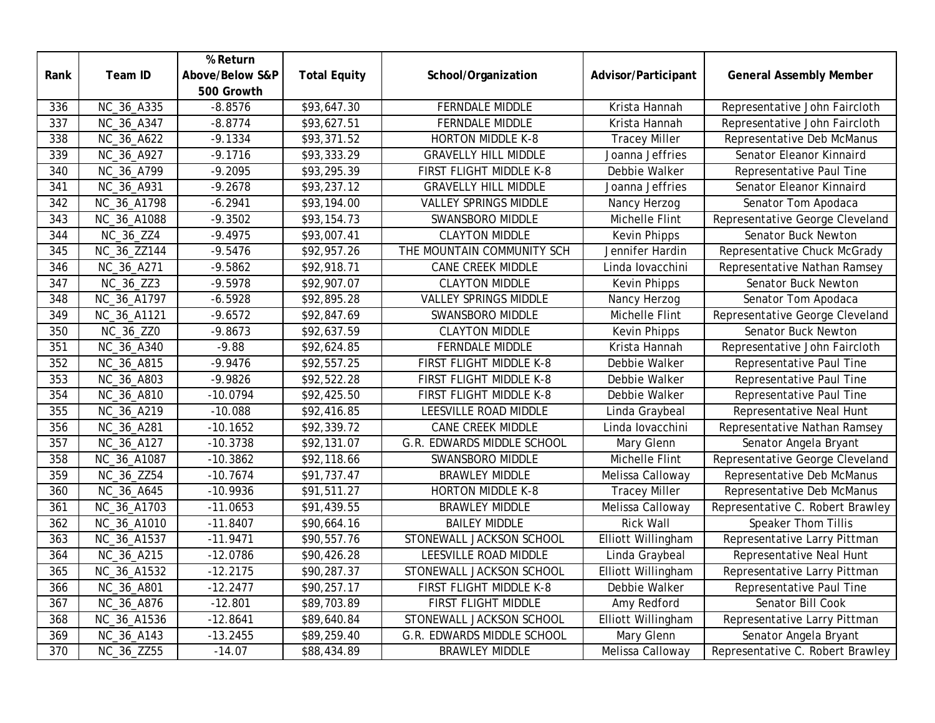|      |             | % Return        |                     |                              |                      |                                  |
|------|-------------|-----------------|---------------------|------------------------------|----------------------|----------------------------------|
| Rank | Team ID     | Above/Below S&P | <b>Total Equity</b> | School/Organization          | Advisor/Participant  | <b>General Assembly Member</b>   |
|      |             | 500 Growth      |                     |                              |                      |                                  |
| 336  | NC_36_A335  | $-8.8576$       | \$93,647.30         | <b>FERNDALE MIDDLE</b>       | Krista Hannah        | Representative John Faircloth    |
| 337  | NC_36_A347  | $-8.8774$       | \$93,627.51         | <b>FERNDALE MIDDLE</b>       | Krista Hannah        | Representative John Faircloth    |
| 338  | NC_36_A622  | $-9.1334$       | \$93,371.52         | <b>HORTON MIDDLE K-8</b>     | <b>Tracey Miller</b> | Representative Deb McManus       |
| 339  | NC_36_A927  | $-9.1716$       | \$93,333.29         | <b>GRAVELLY HILL MIDDLE</b>  | Joanna Jeffries      | Senator Eleanor Kinnaird         |
| 340  | NC_36_A799  | $-9.2095$       | \$93,295.39         | FIRST FLIGHT MIDDLE K-8      | Debbie Walker        | Representative Paul Tine         |
| 341  | NC_36_A931  | $-9.2678$       | \$93,237.12         | <b>GRAVELLY HILL MIDDLE</b>  | Joanna Jeffries      | Senator Eleanor Kinnaird         |
| 342  | NC_36_A1798 | $-6.2941$       | \$93,194.00         | <b>VALLEY SPRINGS MIDDLE</b> | Nancy Herzog         | Senator Tom Apodaca              |
| 343  | NC_36_A1088 | $-9.3502$       | \$93,154.73         | SWANSBORO MIDDLE             | Michelle Flint       | Representative George Cleveland  |
| 344  | NC_36_ZZ4   | $-9.4975$       | \$93,007.41         | <b>CLAYTON MIDDLE</b>        | <b>Kevin Phipps</b>  | Senator Buck Newton              |
| 345  | NC_36_ZZ144 | $-9.5476$       | \$92,957.26         | THE MOUNTAIN COMMUNITY SCH   | Jennifer Hardin      | Representative Chuck McGrady     |
| 346  | NC_36_A271  | $-9.5862$       | \$92,918.71         | <b>CANE CREEK MIDDLE</b>     | Linda lovacchini     | Representative Nathan Ramsey     |
| 347  | NC_36_ZZ3   | $-9.5978$       | \$92,907.07         | <b>CLAYTON MIDDLE</b>        | Kevin Phipps         | Senator Buck Newton              |
| 348  | NC_36_A1797 | $-6.5928$       | \$92,895.28         | <b>VALLEY SPRINGS MIDDLE</b> | Nancy Herzog         | Senator Tom Apodaca              |
| 349  | NC_36_A1121 | $-9.6572$       | \$92,847.69         | SWANSBORO MIDDLE             | Michelle Flint       | Representative George Cleveland  |
| 350  | NC_36_ZZ0   | $-9.8673$       | \$92,637.59         | <b>CLAYTON MIDDLE</b>        | <b>Kevin Phipps</b>  | Senator Buck Newton              |
| 351  | NC_36_A340  | $-9.88$         | \$92,624.85         | <b>FERNDALE MIDDLE</b>       | Krista Hannah        | Representative John Faircloth    |
| 352  | NC_36_A815  | $-9.9476$       | \$92,557.25         | FIRST FLIGHT MIDDLE K-8      | Debbie Walker        | Representative Paul Tine         |
| 353  | NC_36_A803  | $-9.9826$       | \$92,522.28         | FIRST FLIGHT MIDDLE K-8      | Debbie Walker        | Representative Paul Tine         |
| 354  | NC_36_A810  | $-10.0794$      | \$92,425.50         | FIRST FLIGHT MIDDLE K-8      | Debbie Walker        | Representative Paul Tine         |
| 355  | NC_36_A219  | $-10.088$       | \$92,416.85         | <b>LEESVILLE ROAD MIDDLE</b> | Linda Graybeal       | Representative Neal Hunt         |
| 356  | NC_36_A281  | $-10.1652$      | \$92,339.72         | <b>CANE CREEK MIDDLE</b>     | Linda lovacchini     | Representative Nathan Ramsey     |
| 357  | NC_36_A127  | $-10.3738$      | \$92,131.07         | G.R. EDWARDS MIDDLE SCHOOL   | Mary Glenn           | Senator Angela Bryant            |
| 358  | NC_36_A1087 | $-10.3862$      | \$92,118.66         | SWANSBORO MIDDLE             | Michelle Flint       | Representative George Cleveland  |
| 359  | NC_36_ZZ54  | $-10.7674$      | \$91,737.47         | <b>BRAWLEY MIDDLE</b>        | Melissa Calloway     | Representative Deb McManus       |
| 360  | NC_36_A645  | $-10.9936$      | \$91,511.27         | <b>HORTON MIDDLE K-8</b>     | <b>Tracey Miller</b> | Representative Deb McManus       |
| 361  | NC_36_A1703 | $-11.0653$      | \$91,439.55         | <b>BRAWLEY MIDDLE</b>        | Melissa Calloway     | Representative C. Robert Brawley |
| 362  | NC_36_A1010 | $-11.8407$      | \$90,664.16         | <b>BAILEY MIDDLE</b>         | <b>Rick Wall</b>     | Speaker Thom Tillis              |
| 363  | NC_36_A1537 | $-11.9471$      | \$90,557.76         | STONEWALL JACKSON SCHOOL     | Elliott Willingham   | Representative Larry Pittman     |
| 364  | NC_36_A215  | $-12.0786$      | \$90,426.28         | LEESVILLE ROAD MIDDLE        | Linda Graybeal       | Representative Neal Hunt         |
| 365  | NC_36_A1532 | $-12.2175$      | \$90,287.37         | STONEWALL JACKSON SCHOOL     | Elliott Willingham   | Representative Larry Pittman     |
| 366  | NC_36_A801  | $-12.2477$      | \$90,257.17         | FIRST FLIGHT MIDDLE K-8      | Debbie Walker        | Representative Paul Tine         |
| 367  | NC_36_A876  | $-12.801$       | \$89,703.89         | FIRST FLIGHT MIDDLE          | Amy Redford          | Senator Bill Cook                |
| 368  | NC_36_A1536 | $-12.8641$      | \$89,640.84         | STONEWALL JACKSON SCHOOL     | Elliott Willingham   | Representative Larry Pittman     |
| 369  | NC_36_A143  | $-13.2455$      | \$89,259.40         | G.R. EDWARDS MIDDLE SCHOOL   | Mary Glenn           | Senator Angela Bryant            |
| 370  | NC_36_ZZ55  | $-14.07$        | \$88,434.89         | <b>BRAWLEY MIDDLE</b>        | Melissa Calloway     | Representative C. Robert Brawley |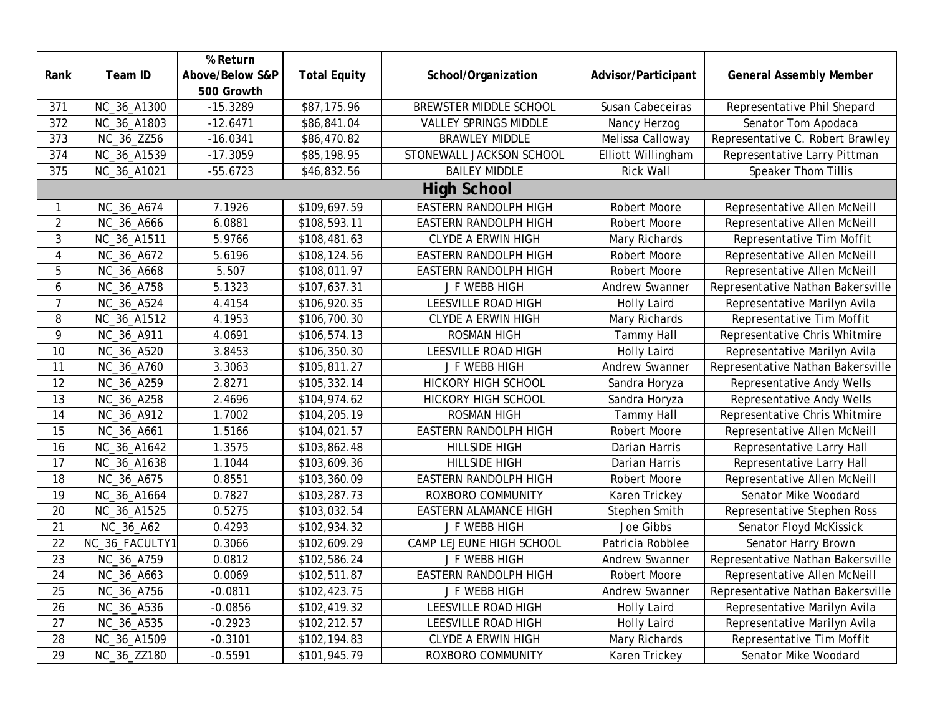|                    |                | % Return        |                     |                              |                     |                                   |  |
|--------------------|----------------|-----------------|---------------------|------------------------------|---------------------|-----------------------------------|--|
| Rank               | Team ID        | Above/Below S&P | <b>Total Equity</b> | School/Organization          | Advisor/Participant | <b>General Assembly Member</b>    |  |
|                    |                | 500 Growth      |                     |                              |                     |                                   |  |
| 371                | NC_36_A1300    | $-15.3289$      | \$87,175.96         | BREWSTER MIDDLE SCHOOL       | Susan Cabeceiras    | Representative Phil Shepard       |  |
| $\overline{372}$   | NC_36_A1803    | $-12.6471$      | \$86,841.04         | <b>VALLEY SPRINGS MIDDLE</b> | Nancy Herzog        | Senator Tom Apodaca               |  |
| 373                | NC_36_ZZ56     | $-16.0341$      | \$86,470.82         | <b>BRAWLEY MIDDLE</b>        | Melissa Calloway    | Representative C. Robert Brawley  |  |
| 374                | NC_36_A1539    | $-17.3059$      | \$85,198.95         | STONEWALL JACKSON SCHOOL     | Elliott Willingham  | Representative Larry Pittman      |  |
| 375                | NC_36_A1021    | $-55.6723$      | \$46,832.56         | <b>BAILEY MIDDLE</b>         | <b>Rick Wall</b>    | <b>Speaker Thom Tillis</b>        |  |
| <b>High School</b> |                |                 |                     |                              |                     |                                   |  |
| 1                  | NC_36_A674     | 7.1926          | \$109,697.59        | EASTERN RANDOLPH HIGH        | Robert Moore        | Representative Allen McNeill      |  |
| $\overline{2}$     | NC_36_A666     | 6.0881          | \$108,593.11        | EASTERN RANDOLPH HIGH        | <b>Robert Moore</b> | Representative Allen McNeill      |  |
| 3                  | NC_36_A1511    | 5.9766          | \$108,481.63        | <b>CLYDE A ERWIN HIGH</b>    | Mary Richards       | Representative Tim Moffit         |  |
| $\overline{4}$     | NC_36_A672     | 5.6196          | \$108,124.56        | EASTERN RANDOLPH HIGH        | <b>Robert Moore</b> | Representative Allen McNeill      |  |
| 5                  | NC_36_A668     | 5.507           | \$108,011.97        | EASTERN RANDOLPH HIGH        | Robert Moore        | Representative Allen McNeill      |  |
| 6                  | NC_36_A758     | 5.1323          | \$107,637.31        | J F WEBB HIGH                | Andrew Swanner      | Representative Nathan Bakersville |  |
| $\overline{7}$     | NC_36_A524     | 4.4154          | \$106,920.35        | LEESVILLE ROAD HIGH          | <b>Holly Laird</b>  | Representative Marilyn Avila      |  |
| 8                  | NC_36_A1512    | 4.1953          | \$106,700.30        | <b>CLYDE A ERWIN HIGH</b>    | Mary Richards       | Representative Tim Moffit         |  |
| 9                  | NC_36_A911     | 4.0691          | \$106,574.13        | <b>ROSMAN HIGH</b>           | <b>Tammy Hall</b>   | Representative Chris Whitmire     |  |
| $\overline{10}$    | NC_36_A520     | 3.8453          | \$106,350.30        | LEESVILLE ROAD HIGH          | <b>Holly Laird</b>  | Representative Marilyn Avila      |  |
| 11                 | NC_36_A760     | 3.3063          | \$105,811.27        | J F WEBB HIGH                | Andrew Swanner      | Representative Nathan Bakersville |  |
| 12                 | NC_36_A259     | 2.8271          | \$105,332.14        | <b>HICKORY HIGH SCHOOL</b>   | Sandra Horyza       | Representative Andy Wells         |  |
| 13                 | NC_36_A258     | 2.4696          | \$104,974.62        | <b>HICKORY HIGH SCHOOL</b>   | Sandra Horyza       | Representative Andy Wells         |  |
| 14                 | NC_36_A912     | 1.7002          | \$104,205.19        | <b>ROSMAN HIGH</b>           | <b>Tammy Hall</b>   | Representative Chris Whitmire     |  |
| $\overline{15}$    | NC_36_A661     | 1.5166          | \$104,021.57        | EASTERN RANDOLPH HIGH        | Robert Moore        | Representative Allen McNeill      |  |
| $\overline{16}$    | NC_36_A1642    | 1.3575          | \$103,862.48        | <b>HILLSIDE HIGH</b>         | Darian Harris       | Representative Larry Hall         |  |
| 17                 | NC_36_A1638    | 1.1044          | \$103,609.36        | <b>HILLSIDE HIGH</b>         | Darian Harris       | Representative Larry Hall         |  |
| 18                 | NC_36_A675     | 0.8551          | \$103,360.09        | EASTERN RANDOLPH HIGH        | Robert Moore        | Representative Allen McNeill      |  |
| 19                 | NC_36_A1664    | 0.7827          | \$103,287.73        | ROXBORO COMMUNITY            | Karen Trickey       | Senator Mike Woodard              |  |
| 20                 | NC_36_A1525    | 0.5275          | \$103,032.54        | <b>EASTERN ALAMANCE HIGH</b> | Stephen Smith       | Representative Stephen Ross       |  |
| 21                 | NC_36_A62      | 0.4293          | \$102,934.32        | J F WEBB HIGH                | Joe Gibbs           | Senator Floyd McKissick           |  |
| 22                 | NC_36_FACULTY1 | 0.3066          | \$102,609.29        | CAMP LEJEUNE HIGH SCHOOL     | Patricia Robblee    | Senator Harry Brown               |  |
| $\overline{23}$    | NC_36_A759     | 0.0812          | \$102,586.24        | J F WEBB HIGH                | Andrew Swanner      | Representative Nathan Bakersville |  |
| 24                 | NC_36_A663     | 0.0069          | \$102,511.87        | EASTERN RANDOLPH HIGH        | Robert Moore        | Representative Allen McNeill      |  |
| $\overline{25}$    | NC_36_A756     | $-0.0811$       | \$102,423.75        | J F WEBB HIGH                | Andrew Swanner      | Representative Nathan Bakersville |  |
| 26                 | NC_36_A536     | $-0.0856$       | \$102,419.32        | LEESVILLE ROAD HIGH          | <b>Holly Laird</b>  | Representative Marilyn Avila      |  |
| 27                 | NC_36_A535     | $-0.2923$       | \$102,212.57        | LEESVILLE ROAD HIGH          | <b>Holly Laird</b>  | Representative Marilyn Avila      |  |
| 28                 | NC_36_A1509    | $-0.3101$       | \$102,194.83        | <b>CLYDE A ERWIN HIGH</b>    | Mary Richards       | Representative Tim Moffit         |  |
| 29                 | NC_36_ZZ180    | $-0.5591$       | \$101,945.79        | ROXBORO COMMUNITY            | Karen Trickey       | Senator Mike Woodard              |  |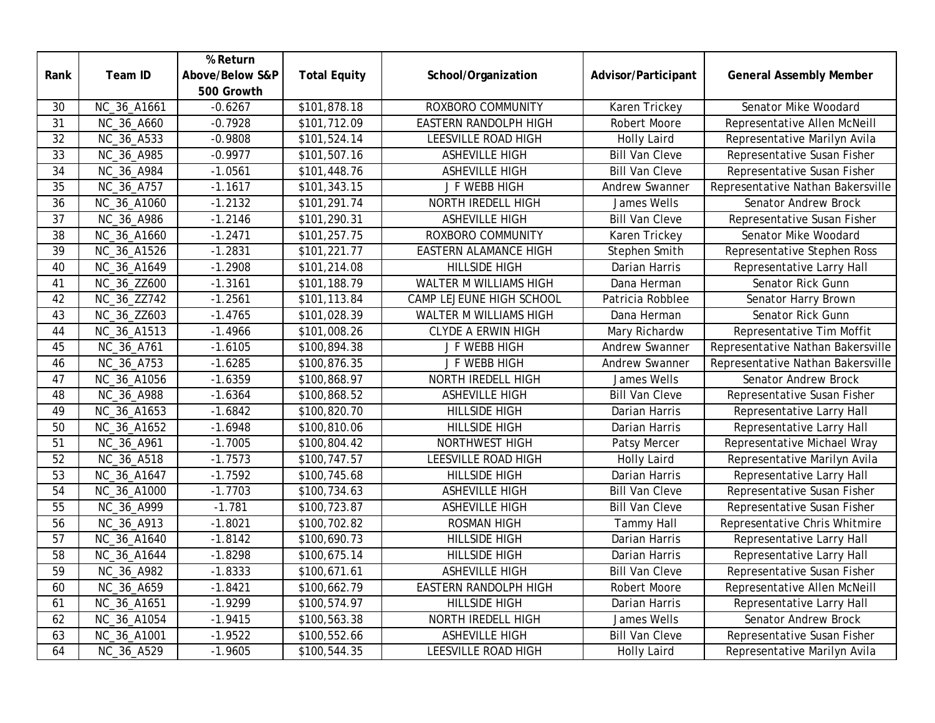|      |             | % Return        |                     |                              |                       |                                   |
|------|-------------|-----------------|---------------------|------------------------------|-----------------------|-----------------------------------|
| Rank | Team ID     | Above/Below S&P | <b>Total Equity</b> | School/Organization          | Advisor/Participant   | <b>General Assembly Member</b>    |
|      |             | 500 Growth      |                     |                              |                       |                                   |
| 30   | NC_36_A1661 | $-0.6267$       | \$101,878.18        | ROXBORO COMMUNITY            | Karen Trickey         | Senator Mike Woodard              |
| 31   | NC_36_A660  | $-0.7928$       | \$101,712.09        | EASTERN RANDOLPH HIGH        | <b>Robert Moore</b>   | Representative Allen McNeill      |
| 32   | NC_36_A533  | $-0.9808$       | \$101,524.14        | LEESVILLE ROAD HIGH          | <b>Holly Laird</b>    | Representative Marilyn Avila      |
| 33   | NC_36_A985  | $-0.9977$       | \$101,507.16        | <b>ASHEVILLE HIGH</b>        | <b>Bill Van Cleve</b> | Representative Susan Fisher       |
| 34   | NC_36_A984  | $-1.0561$       | \$101,448.76        | <b>ASHEVILLE HIGH</b>        | <b>Bill Van Cleve</b> | Representative Susan Fisher       |
| 35   | NC_36_A757  | $-1.1617$       | \$101,343.15        | J F WEBB HIGH                | Andrew Swanner        | Representative Nathan Bakersville |
| 36   | NC_36_A1060 | $-1.2132$       | \$101,291.74        | NORTH IREDELL HIGH           | James Wells           | Senator Andrew Brock              |
| 37   | NC_36_A986  | $-1.2146$       | \$101,290.31        | <b>ASHEVILLE HIGH</b>        | <b>Bill Van Cleve</b> | Representative Susan Fisher       |
| 38   | NC_36_A1660 | $-1.2471$       | \$101,257.75        | ROXBORO COMMUNITY            | Karen Trickey         | Senator Mike Woodard              |
| 39   | NC_36_A1526 | $-1.2831$       | \$101,221.77        | <b>EASTERN ALAMANCE HIGH</b> | Stephen Smith         | Representative Stephen Ross       |
| 40   | NC_36_A1649 | $-1.2908$       | \$101,214.08        | <b>HILLSIDE HIGH</b>         | Darian Harris         | Representative Larry Hall         |
| 41   | NC_36_ZZ600 | $-1.3161$       | \$101,188.79        | WALTER M WILLIAMS HIGH       | Dana Herman           | Senator Rick Gunn                 |
| 42   | NC_36_ZZ742 | $-1.2561$       | \$101,113.84        | CAMP LEJEUNE HIGH SCHOOL     | Patricia Robblee      | Senator Harry Brown               |
| 43   | NC_36_ZZ603 | $-1.4765$       | \$101,028.39        | WALTER M WILLIAMS HIGH       | Dana Herman           | Senator Rick Gunn                 |
| 44   | NC_36_A1513 | $-1.4966$       | \$101,008.26        | <b>CLYDE A ERWIN HIGH</b>    | Mary Richardw         | Representative Tim Moffit         |
| 45   | NC_36_A761  | $-1.6105$       | \$100,894.38        | J F WEBB HIGH                | Andrew Swanner        | Representative Nathan Bakersville |
| 46   | NC_36_A753  | $-1.6285$       | \$100,876.35        | J F WEBB HIGH                | Andrew Swanner        | Representative Nathan Bakersville |
| 47   | NC_36_A1056 | $-1.6359$       | \$100,868.97        | NORTH IREDELL HIGH           | James Wells           | Senator Andrew Brock              |
| 48   | NC_36_A988  | $-1.6364$       | \$100,868.52        | <b>ASHEVILLE HIGH</b>        | <b>Bill Van Cleve</b> | Representative Susan Fisher       |
| 49   | NC_36_A1653 | $-1.6842$       | \$100,820.70        | <b>HILLSIDE HIGH</b>         | Darian Harris         | Representative Larry Hall         |
| 50   | NC_36_A1652 | $-1.6948$       | \$100,810.06        | <b>HILLSIDE HIGH</b>         | Darian Harris         | Representative Larry Hall         |
| 51   | NC_36_A961  | $-1.7005$       | \$100,804.42        | NORTHWEST HIGH               | Patsy Mercer          | Representative Michael Wray       |
| 52   | NC_36_A518  | $-1.7573$       | \$100,747.57        | LEESVILLE ROAD HIGH          | <b>Holly Laird</b>    | Representative Marilyn Avila      |
| 53   | NC_36_A1647 | $-1.7592$       | \$100,745.68        | <b>HILLSIDE HIGH</b>         | Darian Harris         | Representative Larry Hall         |
| 54   | NC_36_A1000 | $-1.7703$       | \$100,734.63        | <b>ASHEVILLE HIGH</b>        | <b>Bill Van Cleve</b> | Representative Susan Fisher       |
| 55   | NC_36_A999  | $-1.781$        | \$100,723.87        | ASHEVILLE HIGH               | <b>Bill Van Cleve</b> | Representative Susan Fisher       |
| 56   | NC_36_A913  | $-1.8021$       | \$100,702.82        | <b>ROSMAN HIGH</b>           | <b>Tammy Hall</b>     | Representative Chris Whitmire     |
| 57   | NC_36_A1640 | $-1.8142$       | \$100,690.73        | <b>HILLSIDE HIGH</b>         | Darian Harris         | Representative Larry Hall         |
| 58   | NC_36_A1644 | $-1.8298$       | \$100,675.14        | <b>HILLSIDE HIGH</b>         | Darian Harris         | Representative Larry Hall         |
| 59   | NC_36_A982  | $-1.8333$       | \$100,671.61        | <b>ASHEVILLE HIGH</b>        | <b>Bill Van Cleve</b> | Representative Susan Fisher       |
| 60   | NC_36_A659  | $-1.8421$       | \$100,662.79        | EASTERN RANDOLPH HIGH        | Robert Moore          | Representative Allen McNeill      |
| 61   | NC_36_A1651 | $-1.9299$       | \$100,574.97        | <b>HILLSIDE HIGH</b>         | Darian Harris         | Representative Larry Hall         |
| 62   | NC_36_A1054 | $-1.9415$       | \$100,563.38        | NORTH IREDELL HIGH           | James Wells           | Senator Andrew Brock              |
| 63   | NC_36_A1001 | $-1.9522$       | \$100,552.66        | <b>ASHEVILLE HIGH</b>        | <b>Bill Van Cleve</b> | Representative Susan Fisher       |
| 64   | NC_36_A529  | $-1.9605$       | \$100,544.35        | LEESVILLE ROAD HIGH          | <b>Holly Laird</b>    | Representative Marilyn Avila      |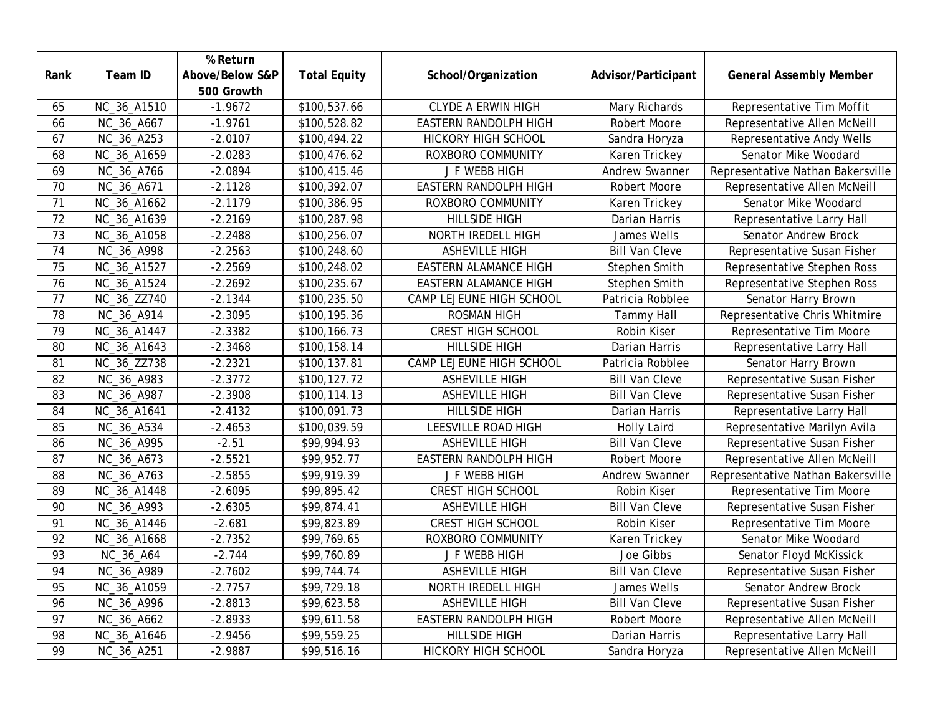|                 |             | % Return        |                     |                              |                       |                                   |
|-----------------|-------------|-----------------|---------------------|------------------------------|-----------------------|-----------------------------------|
| Rank            | Team ID     | Above/Below S&P | <b>Total Equity</b> | School/Organization          | Advisor/Participant   | <b>General Assembly Member</b>    |
|                 |             | 500 Growth      |                     |                              |                       |                                   |
| 65              | NC_36_A1510 | $-1.9672$       | \$100,537.66        | <b>CLYDE A ERWIN HIGH</b>    | Mary Richards         | Representative Tim Moffit         |
| 66              | NC_36_A667  | $-1.9761$       | \$100,528.82        | <b>EASTERN RANDOLPH HIGH</b> | Robert Moore          | Representative Allen McNeill      |
| 67              | NC_36_A253  | $-2.0107$       | \$100,494.22        | <b>HICKORY HIGH SCHOOL</b>   | Sandra Horyza         | Representative Andy Wells         |
| 68              | NC_36_A1659 | $-2.0283$       | \$100,476.62        | ROXBORO COMMUNITY            | Karen Trickey         | Senator Mike Woodard              |
| 69              | NC_36_A766  | $-2.0894$       | \$100,415.46        | <b>JF WEBB HIGH</b>          | Andrew Swanner        | Representative Nathan Bakersville |
| 70              | NC_36_A671  | $-2.1128$       | \$100,392.07        | EASTERN RANDOLPH HIGH        | <b>Robert Moore</b>   | Representative Allen McNeill      |
| 71              | NC_36_A1662 | $-2.1179$       | \$100,386.95        | ROXBORO COMMUNITY            | Karen Trickey         | Senator Mike Woodard              |
| 72              | NC_36_A1639 | $-2.2169$       | \$100,287.98        | <b>HILLSIDE HIGH</b>         | Darian Harris         | Representative Larry Hall         |
| $\overline{73}$ | NC_36_A1058 | $-2.2488$       | \$100,256.07        | NORTH IREDELL HIGH           | James Wells           | Senator Andrew Brock              |
| 74              | NC_36_A998  | $-2.2563$       | \$100,248.60        | <b>ASHEVILLE HIGH</b>        | <b>Bill Van Cleve</b> | Representative Susan Fisher       |
| 75              | NC_36_A1527 | $-2.2569$       | \$100,248.02        | <b>EASTERN ALAMANCE HIGH</b> | Stephen Smith         | Representative Stephen Ross       |
| 76              | NC_36_A1524 | $-2.2692$       | \$100,235.67        | EASTERN ALAMANCE HIGH        | Stephen Smith         | Representative Stephen Ross       |
| 77              | NC_36_ZZ740 | $-2.1344$       | \$100,235.50        | CAMP LEJEUNE HIGH SCHOOL     | Patricia Robblee      | Senator Harry Brown               |
| 78              | NC_36_A914  | $-2.3095$       | \$100,195.36        | <b>ROSMAN HIGH</b>           | <b>Tammy Hall</b>     | Representative Chris Whitmire     |
| 79              | NC_36_A1447 | $-2.3382$       | \$100,166.73        | <b>CREST HIGH SCHOOL</b>     | Robin Kiser           | Representative Tim Moore          |
| $\overline{80}$ | NC_36_A1643 | $-2.3468$       | \$100,158.14        | <b>HILLSIDE HIGH</b>         | Darian Harris         | Representative Larry Hall         |
| 81              | NC_36_ZZ738 | $-2.2321$       | \$100,137.81        | CAMP LEJEUNE HIGH SCHOOL     | Patricia Robblee      | Senator Harry Brown               |
| 82              | NC_36_A983  | $-2.3772$       | \$100,127.72        | <b>ASHEVILLE HIGH</b>        | <b>Bill Van Cleve</b> | Representative Susan Fisher       |
| 83              | NC_36_A987  | $-2.3908$       | \$100,114.13        | ASHEVILLE HIGH               | <b>Bill Van Cleve</b> | Representative Susan Fisher       |
| 84              | NC_36_A1641 | $-2.4132$       | \$100,091.73        | <b>HILLSIDE HIGH</b>         | Darian Harris         | Representative Larry Hall         |
| 85              | NC_36_A534  | $-2.4653$       | \$100,039.59        | LEESVILLE ROAD HIGH          | <b>Holly Laird</b>    | Representative Marilyn Avila      |
| 86              | NC_36_A995  | $-2.51$         | \$99,994.93         | <b>ASHEVILLE HIGH</b>        | <b>Bill Van Cleve</b> | Representative Susan Fisher       |
| $\overline{87}$ | NC_36_A673  | $-2.5521$       | \$99,952.77         | EASTERN RANDOLPH HIGH        | Robert Moore          | Representative Allen McNeill      |
| 88              | NC_36_A763  | $-2.5855$       | \$99,919.39         | J F WEBB HIGH                | Andrew Swanner        | Representative Nathan Bakersville |
| 89              | NC_36_A1448 | $-2.6095$       | \$99,895.42         | <b>CREST HIGH SCHOOL</b>     | Robin Kiser           | Representative Tim Moore          |
| 90              | NC_36_A993  | $-2.6305$       | \$99,874.41         | <b>ASHEVILLE HIGH</b>        | <b>Bill Van Cleve</b> | Representative Susan Fisher       |
| 91              | NC_36_A1446 | $-2.681$        | \$99,823.89         | <b>CREST HIGH SCHOOL</b>     | Robin Kiser           | Representative Tim Moore          |
| 92              | NC_36_A1668 | $-2.7352$       | \$99,769.65         | ROXBORO COMMUNITY            | Karen Trickey         | Senator Mike Woodard              |
| 93              | NC_36_A64   | $-2.744$        | \$99,760.89         | J F WEBB HIGH                | Joe Gibbs             | Senator Floyd McKissick           |
| 94              | NC_36_A989  | $-2.7602$       | \$99,744.74         | <b>ASHEVILLE HIGH</b>        | <b>Bill Van Cleve</b> | Representative Susan Fisher       |
| 95              | NC_36_A1059 | $-2.7757$       | \$99,729.18         | NORTH IREDELL HIGH           | James Wells           | Senator Andrew Brock              |
| 96              | NC_36_A996  | $-2.8813$       | \$99,623.58         | <b>ASHEVILLE HIGH</b>        | <b>Bill Van Cleve</b> | Representative Susan Fisher       |
| 97              | NC_36_A662  | $-2.8933$       | \$99,611.58         | EASTERN RANDOLPH HIGH        | Robert Moore          | Representative Allen McNeill      |
| 98              | NC_36_A1646 | $-2.9456$       | \$99,559.25         | <b>HILLSIDE HIGH</b>         | Darian Harris         | Representative Larry Hall         |
| 99              | NC_36_A251  | $-2.9887$       | \$99,516.16         | <b>HICKORY HIGH SCHOOL</b>   | Sandra Horyza         | Representative Allen McNeill      |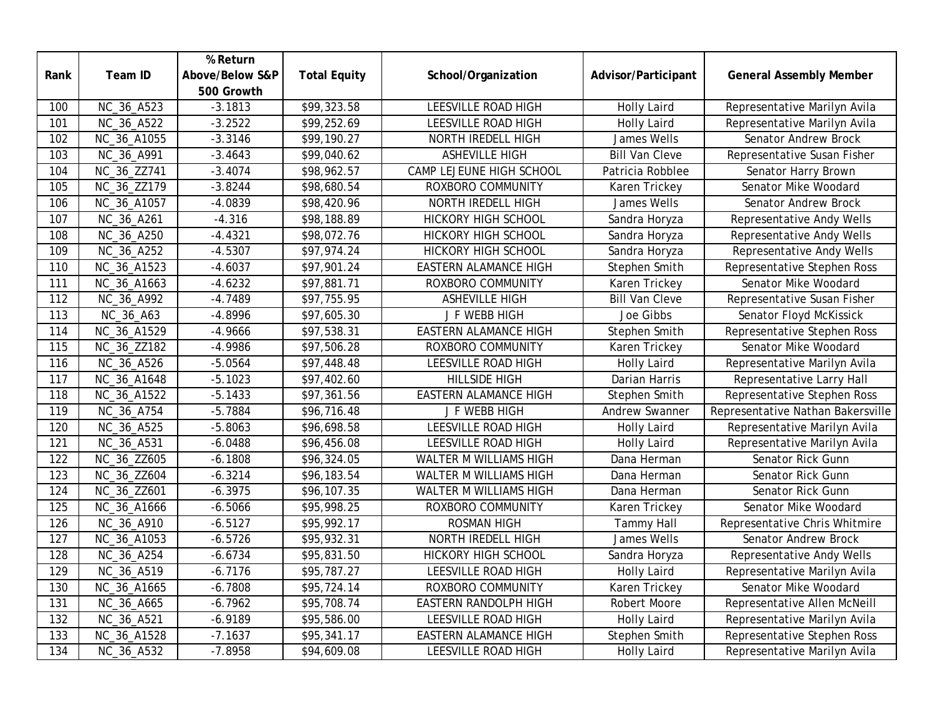|      |             | % Return        |                     |                              |                       |                                   |
|------|-------------|-----------------|---------------------|------------------------------|-----------------------|-----------------------------------|
| Rank | Team ID     | Above/Below S&P | <b>Total Equity</b> | School/Organization          | Advisor/Participant   | <b>General Assembly Member</b>    |
|      |             | 500 Growth      |                     |                              |                       |                                   |
| 100  | NC_36_A523  | $-3.1813$       | \$99,323.58         | <b>LEESVILLE ROAD HIGH</b>   | <b>Holly Laird</b>    | Representative Marilyn Avila      |
| 101  | NC_36_A522  | $-3.2522$       | \$99,252.69         | <b>LEESVILLE ROAD HIGH</b>   | <b>Holly Laird</b>    | Representative Marilyn Avila      |
| 102  | NC_36_A1055 | $-3.3146$       | \$99,190.27         | NORTH IREDELL HIGH           | James Wells           | Senator Andrew Brock              |
| 103  | NC_36_A991  | $-3.4643$       | \$99,040.62         | <b>ASHEVILLE HIGH</b>        | <b>Bill Van Cleve</b> | Representative Susan Fisher       |
| 104  | NC_36_ZZ741 | $-3.4074$       | \$98,962.57         | CAMP LEJEUNE HIGH SCHOOL     | Patricia Robblee      | Senator Harry Brown               |
| 105  | NC_36_ZZ179 | $-3.8244$       | \$98,680.54         | ROXBORO COMMUNITY            | Karen Trickey         | Senator Mike Woodard              |
| 106  | NC_36_A1057 | $-4.0839$       | \$98,420.96         | NORTH IREDELL HIGH           | James Wells           | Senator Andrew Brock              |
| 107  | NC_36_A261  | $-4.316$        | \$98,188.89         | <b>HICKORY HIGH SCHOOL</b>   | Sandra Horyza         | Representative Andy Wells         |
| 108  | NC_36_A250  | $-4.4321$       | \$98,072.76         | <b>HICKORY HIGH SCHOOL</b>   | Sandra Horyza         | Representative Andy Wells         |
| 109  | NC_36_A252  | $-4.5307$       | \$97,974.24         | <b>HICKORY HIGH SCHOOL</b>   | Sandra Horyza         | <b>Representative Andy Wells</b>  |
| 110  | NC_36_A1523 | $-4.6037$       | \$97,901.24         | <b>EASTERN ALAMANCE HIGH</b> | Stephen Smith         | Representative Stephen Ross       |
| 111  | NC_36_A1663 | $-4.6232$       | \$97,881.71         | ROXBORO COMMUNITY            | Karen Trickey         | Senator Mike Woodard              |
| 112  | NC_36_A992  | $-4.7489$       | \$97,755.95         | <b>ASHEVILLE HIGH</b>        | <b>Bill Van Cleve</b> | Representative Susan Fisher       |
| 113  | NC_36_A63   | $-4.8996$       | \$97,605.30         | J F WEBB HIGH                | Joe Gibbs             | Senator Floyd McKissick           |
| 114  | NC_36_A1529 | $-4.9666$       | \$97,538.31         | <b>EASTERN ALAMANCE HIGH</b> | Stephen Smith         | Representative Stephen Ross       |
| 115  | NC_36_ZZ182 | $-4.9986$       | \$97,506.28         | ROXBORO COMMUNITY            | Karen Trickey         | Senator Mike Woodard              |
| 116  | NC_36_A526  | $-5.0564$       | \$97,448.48         | LEESVILLE ROAD HIGH          | <b>Holly Laird</b>    | Representative Marilyn Avila      |
| 117  | NC_36_A1648 | $-5.1023$       | \$97,402.60         | <b>HILLSIDE HIGH</b>         | Darian Harris         | Representative Larry Hall         |
| 118  | NC_36_A1522 | $-5.1433$       | \$97,361.56         | <b>EASTERN ALAMANCE HIGH</b> | Stephen Smith         | Representative Stephen Ross       |
| 119  | NC_36_A754  | $-5.7884$       | \$96,716.48         | J F WEBB HIGH                | Andrew Swanner        | Representative Nathan Bakersville |
| 120  | NC_36_A525  | $-5.8063$       | \$96,698.58         | LEESVILLE ROAD HIGH          | <b>Holly Laird</b>    | Representative Marilyn Avila      |
| 121  | NC_36_A531  | $-6.0488$       | \$96,456.08         | LEESVILLE ROAD HIGH          | <b>Holly Laird</b>    | Representative Marilyn Avila      |
| 122  | NC_36_ZZ605 | $-6.1808$       | \$96,324.05         | WALTER M WILLIAMS HIGH       | Dana Herman           | Senator Rick Gunn                 |
| 123  | NC_36_ZZ604 | $-6.3214$       | \$96,183.54         | WALTER M WILLIAMS HIGH       | Dana Herman           | Senator Rick Gunn                 |
| 124  | NC_36_ZZ601 | $-6.3975$       | \$96,107.35         | WALTER M WILLIAMS HIGH       | Dana Herman           | Senator Rick Gunn                 |
| 125  | NC_36_A1666 | $-6.5066$       | \$95,998.25         | ROXBORO COMMUNITY            | Karen Trickey         | Senator Mike Woodard              |
| 126  | NC_36_A910  | $-6.5127$       | \$95,992.17         | <b>ROSMAN HIGH</b>           | <b>Tammy Hall</b>     | Representative Chris Whitmire     |
| 127  | NC_36_A1053 | $-6.5726$       | \$95,932.31         | NORTH IREDELL HIGH           | James Wells           | <b>Senator Andrew Brock</b>       |
| 128  | NC_36_A254  | $-6.6734$       | \$95,831.50         | HICKORY HIGH SCHOOL          | Sandra Horyza         | Representative Andy Wells         |
| 129  | NC_36_A519  | $-6.7176$       | \$95,787.27         | LEESVILLE ROAD HIGH          | <b>Holly Laird</b>    | Representative Marilyn Avila      |
| 130  | NC_36_A1665 | $-6.7808$       | \$95,724.14         | ROXBORO COMMUNITY            | Karen Trickey         | Senator Mike Woodard              |
| 131  | NC_36_A665  | $-6.7962$       | \$95,708.74         | EASTERN RANDOLPH HIGH        | Robert Moore          | Representative Allen McNeill      |
| 132  | NC_36_A521  | $-6.9189$       | \$95,586.00         | LEESVILLE ROAD HIGH          | <b>Holly Laird</b>    | Representative Marilyn Avila      |
| 133  | NC_36_A1528 | $-7.1637$       | \$95,341.17         | <b>EASTERN ALAMANCE HIGH</b> | Stephen Smith         | Representative Stephen Ross       |
| 134  | NC_36_A532  | $-7.8958$       | \$94,609.08         | <b>LEESVILLE ROAD HIGH</b>   | <b>Holly Laird</b>    | Representative Marilyn Avila      |